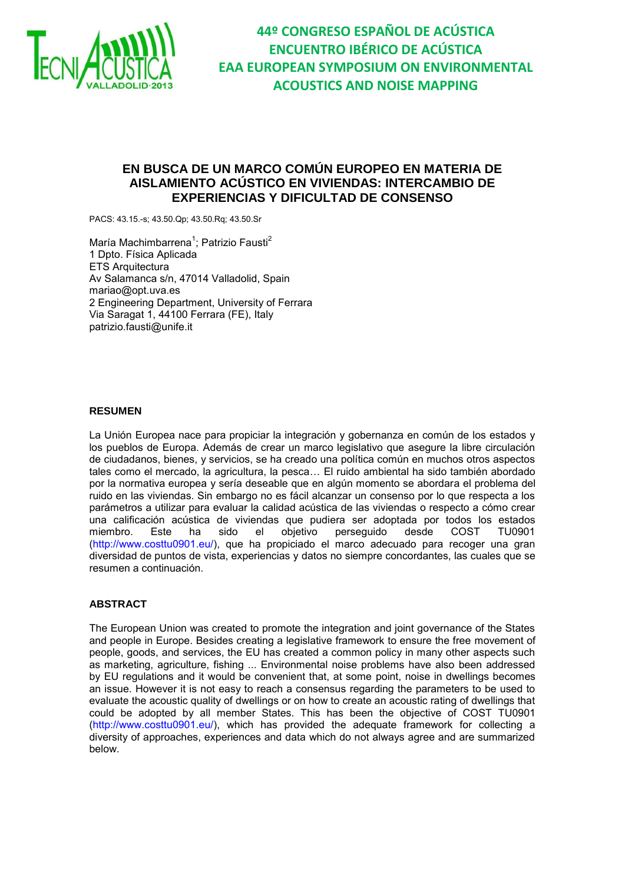

**44º CONGRESO ESPAÑOL DE ACÚSTICA ENCUENTRO IBÉRICO DE ACÚSTICA EAA EUROPEAN SYMPOSIUM ON ENVIRONMENTAL ACOUSTICS AND NOISE MAPPING**

# **EN BUSCA DE UN MARCO COMÚN EUROPEO EN MATERIA DE AISLAMIENTO ACÚSTICO EN VIVIENDAS: INTERCAMBIO DE EXPERIENCIAS Y DIFICULTAD DE CONSENSO**

PACS: 43.15.-s; 43.50.Qp; 43.50.Rq; 43.50.Sr

María Machimbarrena<sup>1</sup>; Patrizio Fausti<sup>2</sup> 1 Dpto. Física Aplicada ETS Arquitectura Av Salamanca s/n, 47014 Valladolid, Spain mariao@opt.uva.es 2 Engineering Department, University of Ferrara Via Saragat 1, 44100 Ferrara (FE), Italy patrizio.fausti@unife.it

# **RESUMEN**

La Unión Europea nace para propiciar la integración y gobernanza en común de los estados y los pueblos de Europa. Además de crear un marco legislativo que asegure la libre circulación de ciudadanos, bienes, y servicios, se ha creado una política común en muchos otros aspectos tales como el mercado, la agricultura, la pesca… El ruido ambiental ha sido también abordado por la normativa europea y sería deseable que en algún momento se abordara el problema del ruido en las viviendas. Sin embargo no es fácil alcanzar un consenso por lo que respecta a los parámetros a utilizar para evaluar la calidad acústica de las viviendas o respecto a cómo crear una calificación acústica de viviendas que pudiera ser adoptada por todos los estados el objetivo perseguido (http://www.costtu0901.eu/), que ha propiciado el marco adecuado para recoger una gran diversidad de puntos de vista, experiencias y datos no siempre concordantes, las cuales que se resumen a continuación.

# **ABSTRACT**

The European Union was created to promote the integration and joint governance of the States and people in Europe. Besides creating a legislative framework to ensure the free movement of people, goods, and services, the EU has created a common policy in many other aspects such as marketing, agriculture, fishing ... Environmental noise problems have also been addressed by EU regulations and it would be convenient that, at some point, noise in dwellings becomes an issue. However it is not easy to reach a consensus regarding the parameters to be used to evaluate the acoustic quality of dwellings or on how to create an acoustic rating of dwellings that could be adopted by all member States. This has been the objective of COST TU0901 (http://www.costtu0901.eu/), which has provided the adequate framework for collecting a diversity of approaches, experiences and data which do not always agree and are summarized below.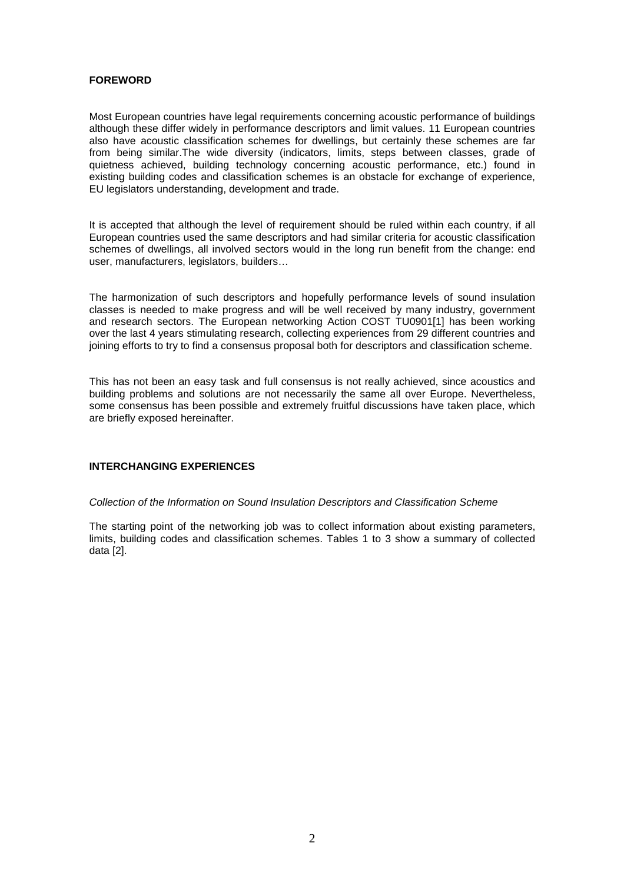# **FOREWORD**

Most European countries have legal requirements concerning acoustic performance of buildings although these differ widely in performance descriptors and limit values. 11 European countries also have acoustic classification schemes for dwellings, but certainly these schemes are far from being similar.The wide diversity (indicators, limits, steps between classes, grade of quietness achieved, building technology concerning acoustic performance, etc.) found in existing building codes and classification schemes is an obstacle for exchange of experience, EU legislators understanding, development and trade.

It is accepted that although the level of requirement should be ruled within each country, if all European countries used the same descriptors and had similar criteria for acoustic classification schemes of dwellings, all involved sectors would in the long run benefit from the change: end user, manufacturers, legislators, builders…

The harmonization of such descriptors and hopefully performance levels of sound insulation classes is needed to make progress and will be well received by many industry, government and research sectors. The European networking Action COST TU0901[1] has been working over the last 4 years stimulating research, collecting experiences from 29 different countries and joining efforts to try to find a consensus proposal both for descriptors and classification scheme.

This has not been an easy task and full consensus is not really achieved, since acoustics and building problems and solutions are not necessarily the same all over Europe. Nevertheless, some consensus has been possible and extremely fruitful discussions have taken place, which are briefly exposed hereinafter.

# **INTERCHANGING EXPERIENCES**

### Collection of the Information on Sound Insulation Descriptors and Classification Scheme

The starting point of the networking job was to collect information about existing parameters, limits, building codes and classification schemes. Tables 1 to 3 show a summary of collected data [2].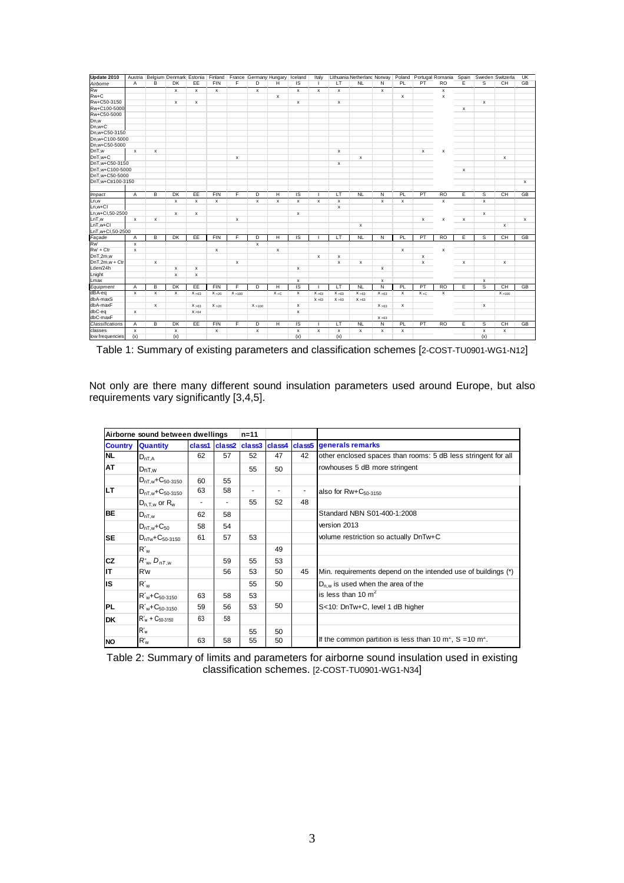| Update 2010                 |                |                           | Austria Belgium Denmark Estonia Finland France Germany Hungary |        |              |         |              |                | Iceland            | Italy          |                                      | Lithuania Netherland Norway |                |              |         | Poland Portugal Romania | Spain          |                    | Sweden Switzerla | UK        |
|-----------------------------|----------------|---------------------------|----------------------------------------------------------------|--------|--------------|---------|--------------|----------------|--------------------|----------------|--------------------------------------|-----------------------------|----------------|--------------|---------|-------------------------|----------------|--------------------|------------------|-----------|
| Airborne                    | A              | B                         | <b>DK</b>                                                      | EE     | <b>FIN</b>   | F       | D            | н              | IS                 |                | LT                                   | <b>NL</b>                   | N              | PL           | PT      | <b>RO</b>               | E              | s                  | CH               | GB        |
| <b>Rw</b>                   |                |                           | $\mathsf{x}$                                                   | x      | $\mathbf{x}$ |         | $\mathbf{x}$ |                | $\pmb{\mathsf{x}}$ | $\times$       | $\pmb{\times}$                       |                             | $\pmb{\times}$ |              |         | $\pmb{\times}$          |                |                    |                  |           |
| $Rw+C$                      |                |                           |                                                                |        |              |         |              | x              |                    |                |                                      |                             |                | x            |         | x                       |                |                    |                  |           |
| Rw+C50-3150                 |                |                           | x                                                              | x      |              |         |              |                | x                  |                | x                                    |                             |                |              |         |                         |                | x                  |                  |           |
| Rw+C100-5000                |                |                           |                                                                |        |              |         |              |                |                    |                |                                      |                             |                |              |         |                         | х              |                    |                  |           |
| Rw+C50-5000                 |                |                           |                                                                |        |              |         |              |                |                    |                |                                      |                             |                |              |         |                         |                |                    |                  |           |
| Dn,w                        |                |                           |                                                                |        |              |         |              |                |                    |                |                                      |                             |                |              |         |                         |                |                    |                  |           |
| Dn,w+C                      |                |                           |                                                                |        |              |         |              |                |                    |                |                                      |                             |                |              |         |                         |                |                    |                  |           |
| Dn,w+C50-3150               |                |                           |                                                                |        |              |         |              |                |                    |                |                                      |                             |                |              |         |                         |                |                    |                  |           |
| Dn.w+C100-5000              |                |                           |                                                                |        |              |         |              |                |                    |                |                                      |                             |                |              |         |                         |                |                    |                  |           |
| Dn.w+C50-5000               |                |                           |                                                                |        |              |         |              |                |                    |                |                                      |                             |                |              |         |                         |                |                    |                  |           |
| DnT,w                       | $\mathsf{x}$   | $\mathbf{x}$              |                                                                |        |              |         |              |                |                    |                | $\mathsf{x}$                         |                             |                |              | x       | x                       |                |                    |                  |           |
| $DnT.w+C$                   |                |                           |                                                                |        |              | x       |              |                |                    |                |                                      | $\mathsf{x}$                |                |              |         |                         |                |                    | $\mathsf{x}$     |           |
| DnT,w+C50-3150              |                |                           |                                                                |        |              |         |              |                |                    |                | x                                    |                             |                |              |         |                         |                |                    |                  |           |
| DnT,w+C100-5000             |                |                           |                                                                |        |              |         |              |                |                    |                |                                      |                             |                |              |         |                         | $\pmb{\times}$ |                    |                  |           |
| DnT,w+C50-5000              |                |                           |                                                                |        |              |         |              |                |                    |                |                                      |                             |                |              |         |                         |                |                    |                  |           |
| DnT,w+Ctr100-3150           |                |                           |                                                                |        |              |         |              |                |                    |                |                                      |                             |                |              |         |                         |                |                    |                  | $\times$  |
| <i><u><b>Impact</b></u></i> | $\overline{A}$ | В                         | DK                                                             | EE     | <b>FIN</b>   | F       | D            | н              | IS                 |                | $\overline{\mathsf{L}^{\mathsf{T}}}$ | N                           | N              | PL           | PT      | R <sub>O</sub>          | Έ              | s                  | CH               | GB        |
| Ln,w                        |                |                           | $\mathsf{x}$                                                   | x      | $\mathbf{x}$ |         | $\mathsf x$  | x              | x                  | $\pmb{\times}$ | $\mathsf{x}$                         |                             | $\mathsf{x}$   | $\mathsf{x}$ |         | x                       |                | $\mathsf{x}$       |                  |           |
| Ln.w+Cl                     |                |                           |                                                                |        |              |         |              |                |                    |                | x                                    |                             |                |              |         |                         |                |                    |                  |           |
| Ln,w+Cl,50-2500             |                |                           | x                                                              | x      |              |         |              |                | x                  |                |                                      |                             |                |              |         |                         |                | x                  |                  |           |
| LnT,w                       | $\mathbf{x}$   | $\boldsymbol{\mathsf{x}}$ |                                                                |        |              | x       |              |                |                    |                |                                      |                             |                |              | x       | x                       | x              |                    |                  | $\times$  |
| LnT.w+Cl                    |                |                           |                                                                |        |              |         |              |                |                    |                |                                      | $\mathsf{x}$                |                |              |         |                         |                |                    | x                |           |
| LnT,w+Cl,50-2500            |                |                           |                                                                |        |              |         |              |                |                    |                |                                      |                             |                |              |         |                         |                |                    |                  |           |
| Façade                      | Α              | B                         | <b>DK</b>                                                      | EE     | <b>FIN</b>   | F       | D            | н              | <b>IS</b>          |                | LT                                   | <b>NL</b>                   | N              | PL           | PT      | <b>RO</b>               | Ε              | s                  | CH               | <b>GB</b> |
| <b>Rw</b>                   | x              |                           |                                                                |        |              |         | $\mathsf x$  |                |                    |                |                                      |                             |                |              |         |                         |                |                    |                  |           |
| $Rw + Ctr$                  | x              |                           |                                                                |        | x            |         |              | $\pmb{\times}$ |                    |                |                                      |                             |                | x            |         | x                       |                |                    |                  |           |
| DnT,2m,w                    |                |                           |                                                                |        |              |         |              |                |                    | $\times$       | $\mathsf{x}$                         |                             |                |              | x       |                         |                |                    |                  |           |
| $DnT.2m.w + Ctr$            |                | $\mathbf{x}$              |                                                                |        |              | x       |              |                |                    |                | $\mathsf{x}$                         | $\mathsf{x}$                |                |              | x       |                         | x              |                    | $\mathsf{x}$     |           |
| Lden/24h                    |                |                           | x                                                              | x      |              |         |              |                | x                  |                |                                      |                             | x              |              |         |                         |                |                    |                  |           |
| Lnight                      |                |                           | $\mathsf{x}$                                                   | x      |              |         |              |                |                    |                |                                      |                             |                |              |         |                         |                |                    |                  |           |
| Lmax                        |                |                           |                                                                |        |              |         |              |                | x                  |                |                                      |                             | x              |              |         |                         |                | $\pmb{\mathsf{x}}$ |                  |           |
| Equipment                   | A              | В                         | DK                                                             | EE     | <b>FIN</b>   | F       | D            | Н              | IS                 |                | τT                                   | NL                          | Ñ              | PL           | PT      | R <sub>O</sub>          | Έ              | s                  | <b>CH</b>        | GB        |
| dBA-eq                      | x              | $\boldsymbol{\mathsf{x}}$ | x                                                              | X > 63 | X > 20       | X > 100 |              | $X + C$        | x                  | X > 63         | X > 63                               | X > 63                      | X > 63         | x            | $X + C$ | x                       |                |                    | X > 100          |           |
| dbA-maxS                    |                |                           |                                                                |        |              |         |              |                |                    | X > 63         | X > 63                               | X > 63                      |                |              |         |                         |                |                    |                  |           |
| dbA-maxF                    |                | $\boldsymbol{\mathsf{x}}$ |                                                                | X > 63 | X > 20       |         | X > 100      |                | x                  |                |                                      |                             | X > 63         | x            |         |                         |                | $\mathsf{x}$       |                  |           |
| dbC-eq                      | x              |                           |                                                                | X > 64 |              |         |              |                | x                  |                |                                      |                             |                |              |         |                         |                |                    |                  |           |
| dbC-maxF                    |                |                           |                                                                |        |              |         |              |                |                    |                |                                      |                             | X > 63         |              |         |                         |                |                    |                  |           |
| Classifications             | A              | В                         | DK                                                             | EE     | <b>FIN</b>   | F       | D            | Η              | <b>IS</b>          |                | LT                                   | NL                          | N              | PL.          | PT      | R <sub>O</sub>          | Έ              | s                  | <b>CH</b>        | GB        |
| classes                     | $\mathsf{x}$   |                           | x                                                              |        | $\mathsf{x}$ |         | $\mathsf{x}$ |                | x                  | $\mathsf{x}$   | $\mathsf{x}$                         | $\mathsf{x}$                | $\mathsf{x}$   | $\mathsf{x}$ |         |                         |                | $\mathsf{x}$       | $\mathsf{x}$     |           |
| low frequencies             | (x)            |                           | (x)                                                            |        |              |         |              |                | (x)                |                | (x)                                  |                             |                |              |         |                         |                | (x)                |                  |           |

Table 1: Summary of existing parameters and classification schemes [2-COST-TU0901-WG1-N12]

Not only are there many different sound insulation parameters used around Europe, but also requirements vary significantly [3,4,5].

| Airborne sound between dwellings |                                | $n = 11$ |    |    |    |                          |                                                               |
|----------------------------------|--------------------------------|----------|----|----|----|--------------------------|---------------------------------------------------------------|
| <b>Country</b>                   | <b>Quantity</b>                |          |    |    |    |                          | class1 class2 class3 class4 class5 generals remarks           |
| <b>NL</b>                        | $D_{nT,A}$                     | 62       | 57 | 52 | 47 | 42                       | other enclosed spaces than rooms: 5 dB less stringent for all |
| AT                               | DnT,w                          |          |    | 55 | 50 |                          | rowhouses 5 dB more stringent                                 |
|                                  | $D_{nT,w}$ + $C_{50-3150}$     | 60       | 55 |    |    |                          |                                                               |
| <b>LT</b>                        | $D_{nT,w}$ + $C_{50-3150}$     | 63       | 58 |    | ٠  | $\overline{\phantom{a}}$ | also for Rw+C <sub>50-3150</sub>                              |
|                                  | $D_{n.T.w}$ or $R_w$           |          |    | 55 | 52 | 48                       |                                                               |
| BE                               | $D_{nT,w}$                     | 62       | 58 |    |    |                          | Standard NBN S01-400-1:2008                                   |
|                                  | $D_{nT,w}$ + $C_{50}$          | 58       | 54 |    |    |                          | version 2013                                                  |
| <b>SE</b>                        | $D_{nTw}$ + $C_{50-3150}$      | 61       | 57 | 53 |    |                          | volume restriction so actually DnTw+C                         |
|                                  | $R_w$                          |          |    |    | 49 |                          |                                                               |
| <b>CZ</b>                        | $R_{w}$ , $D_{nT,w}$           |          | 59 | 55 | 53 |                          |                                                               |
| lιT                              | R'w                            |          | 56 | 53 | 50 | 45                       | Min. requirements depend on the intended use of buildings (*) |
| lis                              | $R_w$                          |          |    | 55 | 50 |                          | $D_{n,w}$ is used when the area of the                        |
|                                  | $R'_w + C_{50-3150}$           | 63       | 58 | 53 |    |                          | is less than 10 $m2$                                          |
| PL                               | $R'_{w}$ +C <sub>50-3150</sub> | 59       | 56 | 53 | 50 |                          | S<10: DnTw+C, level 1 dB higher                               |
| <b>DK</b>                        | $R'_w$ + $C_{50-3150}$         | 63       | 58 |    |    |                          |                                                               |
|                                  | $R_w$                          |          |    | 55 | 50 |                          |                                                               |
| <b>NO</b>                        | $R_w$                          | 63       | 58 | 55 | 50 |                          | If the common partition is less than 10 $m2$ , S = 10 $m2$ .  |

Table 2: Summary of limits and parameters for airborne sound insulation used in existing classification schemes. [2-COST-TU0901-WG1-N34]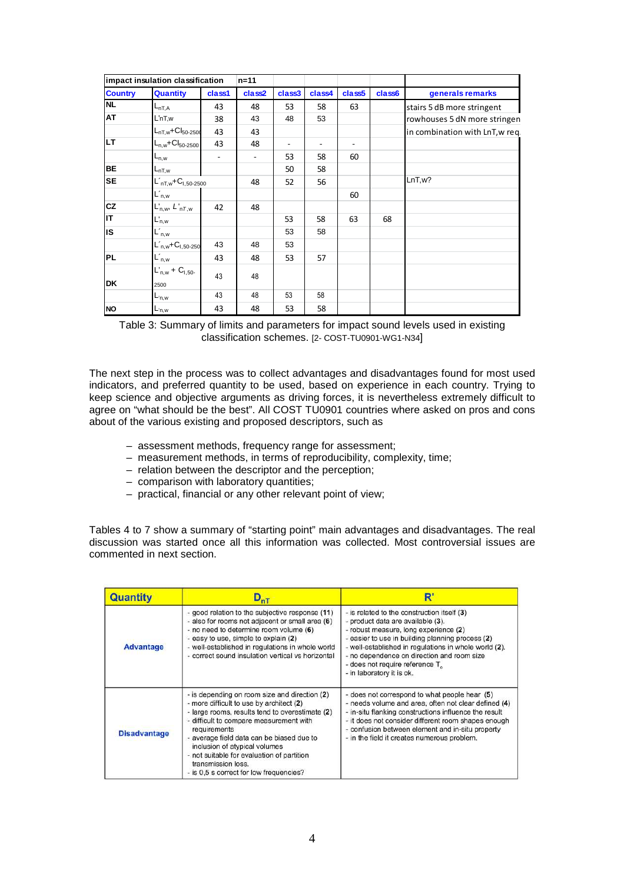| impact insulation classification |                                  |        | $n = 11$ |        |        |                    |        |                                 |
|----------------------------------|----------------------------------|--------|----------|--------|--------|--------------------|--------|---------------------------------|
| <b>Country</b>                   | <b>Quantity</b>                  | class1 | class2   | class3 | class4 | class <sub>5</sub> | class6 | generals remarks                |
| <b>NL</b>                        | $L_{nT,A}$                       | 43     | 48       | 53     | 58     | 63                 |        | stairs 5 dB more stringent      |
| AT                               | $L'$ nT,w                        | 38     | 43       | 48     | 53     |                    |        | rowhouses 5 dN more stringen    |
|                                  | $L_{nT,w}$ +C $I_{50-2500}$      | 43     | 43       |        |        |                    |        | in combination with LnT, w req. |
| LT.                              | $L_{n,w}$ +C $I_{50-2500}$       | 43     | 48       | ۰      |        |                    |        |                                 |
|                                  | $L_{n,w}$                        |        | Ξ.       | 53     | 58     | 60                 |        |                                 |
| <b>BE</b>                        | L <sub>nT,w</sub>                |        |          | 50     | 58     |                    |        |                                 |
| <b>SE</b>                        | $L'_{nT,w}$ + $C_{1,50-2500}$    |        | 48       | 52     | 56     |                    |        | LnT, w?                         |
|                                  | $L'_{n,w}$                       |        |          |        |        | 60                 |        |                                 |
| cz                               | $L'_{n,w}, L'_{nT,w}$            | 42     | 48       |        |        |                    |        |                                 |
| lιT                              | $L'_{n,w}$                       |        |          | 53     | 58     | 63                 | 68     |                                 |
| IS.                              | $L'_{n,w}$                       |        |          | 53     | 58     |                    |        |                                 |
|                                  | $L_{n,w}$ +C <sub>1,50-250</sub> | 43     | 48       | 53     |        |                    |        |                                 |
| <b>PL</b>                        | $L'_{n,w}$                       | 43     | 48       | 53     | 57     |                    |        |                                 |
|                                  | $L'_{n,w}$ + $C_{1,50}$ .        | 43     | 48       |        |        |                    |        |                                 |
| <b>DK</b>                        | 2500                             |        |          |        |        |                    |        |                                 |
|                                  | $L_{n,w}$                        | 43     | 48       | 53     | 58     |                    |        |                                 |
| <b>NO</b>                        | L <sub>'n,w</sub>                | 43     | 48       | 53     | 58     |                    |        |                                 |

Table 3: Summary of limits and parameters for impact sound levels used in existing classification schemes. [2- COST-TU0901-WG1-N34]

The next step in the process was to collect advantages and disadvantages found for most used indicators, and preferred quantity to be used, based on experience in each country. Trying to keep science and objective arguments as driving forces, it is nevertheless extremely difficult to agree on "what should be the best". All COST TU0901 countries where asked on pros and cons about of the various existing and proposed descriptors, such as

- assessment methods, frequency range for assessment;
- measurement methods, in terms of reproducibility, complexity, time;
- relation between the descriptor and the perception;
- comparison with laboratory quantities;
- practical, financial or any other relevant point of view;

Tables 4 to 7 show a summary of "starting point" main advantages and disadvantages. The real discussion was started once all this information was collected. Most controversial issues are commented in next section.

| Quantity            | $D_{nT}$                                                                                                                                                                                                                                                                                                                                                                                             | R                                                                                                                                                                                                                                                                                                                                                   |
|---------------------|------------------------------------------------------------------------------------------------------------------------------------------------------------------------------------------------------------------------------------------------------------------------------------------------------------------------------------------------------------------------------------------------------|-----------------------------------------------------------------------------------------------------------------------------------------------------------------------------------------------------------------------------------------------------------------------------------------------------------------------------------------------------|
| <b>Advantage</b>    | - good relation to the subjective response (11)<br>- also for rooms not adjacent or small area (6)<br>- no need to determine room volume (6)<br>- easy to use, simple to explain (2)<br>- well-established in regulations in whole world<br>- correct sound insulation vertical vs horizontal                                                                                                        | - is related to the construction itself (3)<br>- product data are available (3).<br>- robust measure, long experience (2)<br>- easier to use in building planning process (2)<br>- well-established in regulations in whole world (2).<br>- no dependence on direction and room size<br>- does not require reference T<br>- in laboratory it is ok. |
| <b>Disadvantage</b> | - is depending on room size and direction (2)<br>- more difficult to use by architect (2)<br>- large rooms, results tend to overestimate (2)<br>- difficult to compare measurement with<br>requirements<br>- average field data can be biased due to<br>inclusion of atypical volumes<br>- not suitable for evaluation of partition<br>transmission loss.<br>- is 0.5 s correct for low frequencies? | - does not correspond to what people hear (5)<br>- needs volume and area, often not clear defined (4)<br>- in-situ flanking constructions influence the result<br>- it does not consider different room shapes enough<br>- confusion between element and in-situ property<br>- in the field it creates numerous problem.                            |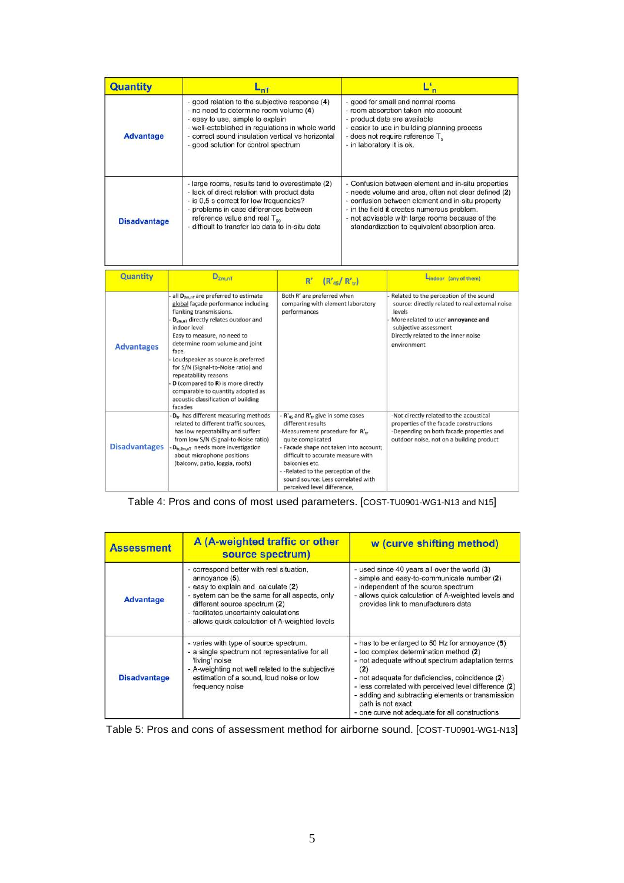| Quantity             |                                                                                                                                                                                                                                                                                                     | nT                                                                                                                                                                                                                                                                                                                                                                                                                                                                              |                                                                                                                                                                                                                                                                                                                                         | Ľ |                                                                                                                                                                                                                                                                                                                    |  |  |
|----------------------|-----------------------------------------------------------------------------------------------------------------------------------------------------------------------------------------------------------------------------------------------------------------------------------------------------|---------------------------------------------------------------------------------------------------------------------------------------------------------------------------------------------------------------------------------------------------------------------------------------------------------------------------------------------------------------------------------------------------------------------------------------------------------------------------------|-----------------------------------------------------------------------------------------------------------------------------------------------------------------------------------------------------------------------------------------------------------------------------------------------------------------------------------------|---|--------------------------------------------------------------------------------------------------------------------------------------------------------------------------------------------------------------------------------------------------------------------------------------------------------------------|--|--|
| <b>Advantage</b>     |                                                                                                                                                                                                                                                                                                     | - good relation to the subjective response (4)<br>- no need to determine room volume (4)<br>- easy to use, simple to explain<br>- well-established in regulations in whole world<br>- correct sound insulation vertical vs horizontal<br>- good solution for control spectrum                                                                                                                                                                                                   | - in laboratory it is ok.                                                                                                                                                                                                                                                                                                               |   | - good for small and normal rooms<br>- room absorption taken into account<br>- product data are available<br>- easier to use in building planning process<br>- does not require reference T <sub>o</sub>                                                                                                           |  |  |
| <b>Disadvantage</b>  |                                                                                                                                                                                                                                                                                                     | - large rooms, results tend to overestimate (2)<br>- lack of direct relation with product data<br>- is 0.5 s correct for low frequencies?<br>- problems in case differences between<br>reference value and real T <sub>eo</sub><br>- difficult to transfer lab data to in-situ data                                                                                                                                                                                             |                                                                                                                                                                                                                                                                                                                                         |   | - Confusion between element and in-situ properties<br>- needs volume and area, often not clear defined (2)<br>- confusion between element and in-situ property<br>- in the field it creates numerous problem.<br>- not advisable with large rooms because of the<br>standardization to equivalent absorption area. |  |  |
| <b>Quantity</b>      |                                                                                                                                                                                                                                                                                                     | $D_{2m,nT}$                                                                                                                                                                                                                                                                                                                                                                                                                                                                     |                                                                                                                                                                                                                                                                                                                                         |   | Lindoor (any of them)                                                                                                                                                                                                                                                                                              |  |  |
|                      |                                                                                                                                                                                                                                                                                                     |                                                                                                                                                                                                                                                                                                                                                                                                                                                                                 | R'<br>$(R'_{45}/R'_{tr})$                                                                                                                                                                                                                                                                                                               |   |                                                                                                                                                                                                                                                                                                                    |  |  |
| <b>Advantages</b>    | face.                                                                                                                                                                                                                                                                                               | all D <sub>2m.nT</sub> are preferred to estimate<br>global façade performance including<br>flanking transmissions.<br>D <sub>2m.nT</sub> directly relates outdoor and<br>indoor level<br>Easy to measure, no need to<br>determine room volume and joint<br>Loudspeaker as source is preferred<br>for S/N (Signal-to-Noise ratio) and<br>repeatability reasons<br>D (compared to R) is more directly<br>comparable to quantity adopted as<br>acoustic classification of building | Both R' are preferred when<br>comparing with element laboratory<br>performances                                                                                                                                                                                                                                                         |   | Related to the perception of the sound<br>source: directly related to real external noise<br>levels<br>More related to user annoyance and<br>subjective assessment<br>Directly related to the inner noise<br>environment                                                                                           |  |  |
| <b>Disadvantages</b> | facades<br>D <sub>tr</sub> has different measuring methods<br>related to different traffic sources,<br>has low repeatability and suffers<br>from low S/N (Signal-to-Noise ratio)<br>D <sub>tr.2m,nT</sub> needs more investigation<br>about microphone positions<br>(balcony, patio, loggia, roofs) |                                                                                                                                                                                                                                                                                                                                                                                                                                                                                 | - $R'_{45}$ and $R'_{16}$ give in some cases<br>different results<br>-Measurement procedure for R'tr<br>quite complicated<br>- Facade shape not taken into account;<br>difficult to accurate measure with<br>balconies etc.<br>-- Related to the perception of the<br>sound source: Less correlated with<br>perceived level difference. |   | -Not directly related to the acoustical<br>properties of the facade constructions<br>-Depending on both facade properties and<br>outdoor noise, not on a building product                                                                                                                                          |  |  |

Table 4: Pros and cons of most used parameters. [COST-TU0901-WG1-N13 and N15]

| <b>Assessment</b>   | A (A-weighted traffic or other<br>source spectrum)                                                                                                                                                                                                                                | w (curve shifting method)                                                                                                                                                                                                                                                                                                                                                                     |
|---------------------|-----------------------------------------------------------------------------------------------------------------------------------------------------------------------------------------------------------------------------------------------------------------------------------|-----------------------------------------------------------------------------------------------------------------------------------------------------------------------------------------------------------------------------------------------------------------------------------------------------------------------------------------------------------------------------------------------|
| <b>Advantage</b>    | - correspond better with real situation,<br>annoyance (5).<br>- easy to explain and calculate (2)<br>- system can be the same for all aspects, only<br>different source spectrum (2)<br>- facilitates uncertainty calculations<br>- allows quick calculation of A-weighted levels | - used since 40 years all over the world (3)<br>- simple and easy-to-communicate number (2)<br>- independent of the source spectrum<br>- allows quick calculation of A-weighted levels and<br>provides link to manufacturers data                                                                                                                                                             |
| <b>Disadvantage</b> | - varies with type of source spectrum.<br>- a single spectrum not representative for all<br>'living' noise<br>- A-weighting not well related to the subjective<br>estimation of a sound, loud noise or low<br>frequency noise                                                     | - has to be enlarged to 50 Hz for annoyance (5)<br>- too complex determination method (2)<br>- not adequate without spectrum adaptation terms<br>(2)<br>- not adequate for deficiencies, coincidence (2)<br>- less correlated with perceived level difference (2)<br>- adding and subtracting elements or transmission<br>path is not exact<br>- one curve not adequate for all constructions |

|  |  | Table 5: Pros and cons of assessment method for airborne sound. [COST-TU0901-WG1-N13] |  |
|--|--|---------------------------------------------------------------------------------------|--|
|--|--|---------------------------------------------------------------------------------------|--|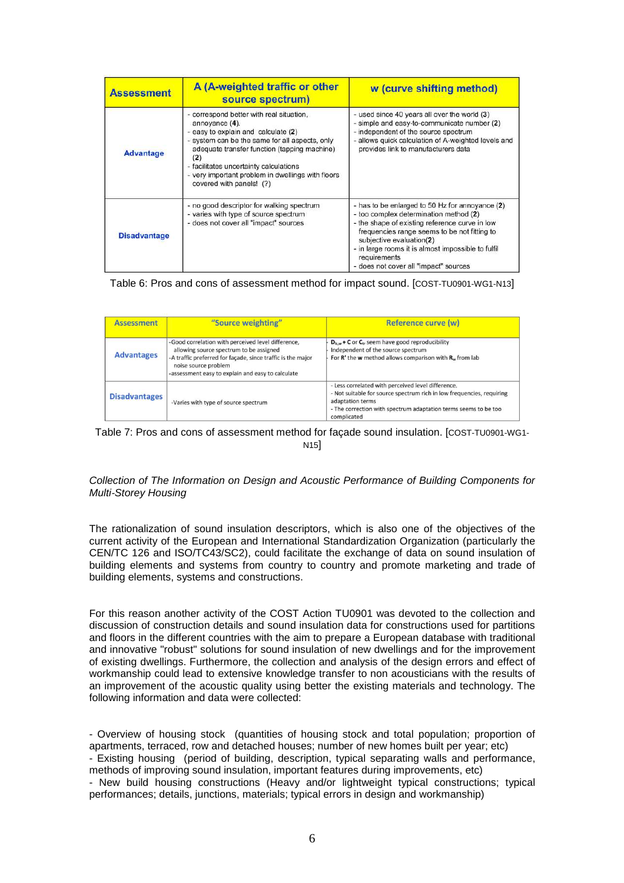| <b>Assessment</b>   | A (A-weighted traffic or other<br>source spectrum)                                                                                                                                                                                                                                                                                    | w (curve shifting method)                                                                                                                                                                                                                                                                                                              |
|---------------------|---------------------------------------------------------------------------------------------------------------------------------------------------------------------------------------------------------------------------------------------------------------------------------------------------------------------------------------|----------------------------------------------------------------------------------------------------------------------------------------------------------------------------------------------------------------------------------------------------------------------------------------------------------------------------------------|
| <b>Advantage</b>    | - correspond better with real situation,<br>annovance (4).<br>- easy to explain and calculate (2)<br>- system can be the same for all aspects, only<br>adequate transfer function (tapping machine)<br>(2)<br>- facilitates uncertainty calculations<br>- very important problem in dwellings with floors<br>covered with panels! (?) | - used since 40 years all over the world (3)<br>- simple and easy-to-communicate number (2)<br>- independent of the source spectrum<br>- allows quick calculation of A-weighted levels and<br>provides link to manufacturers data                                                                                                      |
| <b>Disadvantage</b> | - no good descriptor for walking spectrum<br>- varies with type of source spectrum<br>- does not cover all "impact" sources                                                                                                                                                                                                           | - has to be enlarged to 50 Hz for annoyance (2)<br>- too complex determination method (2)<br>- the shape of existing reference curve in low<br>frequencies range seems to be not fitting to<br>subjective evaluation(2)<br>- in large rooms it is almost impossible to fulfil<br>requirements<br>- does not cover all "impact" sources |

### Table 6: Pros and cons of assessment method for impact sound. [COST-TU0901-WG1-N13]

| <b>Assessment</b>    | "Source weighting"                                                                                                                                                                                                                        | Reference curve (w)                                                                                                                                                                                                               |
|----------------------|-------------------------------------------------------------------------------------------------------------------------------------------------------------------------------------------------------------------------------------------|-----------------------------------------------------------------------------------------------------------------------------------------------------------------------------------------------------------------------------------|
| <b>Advantages</b>    | -Good correlation with perceived level difference,<br>allowing source spectrum to be assigned<br>-A traffic preferred for façade, since traffic is the major<br>noise source problem<br>-assessment easy to explain and easy to calculate | $D_{15,w}$ + C or $C_{tr}$ seem have good reproducibility<br>Independent of the source spectrum<br>For $R'$ the w method allows comparison with $R_w$ from lab                                                                    |
| <b>Disadvantages</b> | -Varies with type of source spectrum                                                                                                                                                                                                      | - Less correlated with perceived level difference.<br>- Not suitable for source spectrum rich in low frequencies, requiring<br>adaptation terms<br>- The correction with spectrum adaptation terms seems to be too<br>complicated |

#### Table 7: Pros and cons of assessment method for façade sound insulation. [COST-TU0901-WG1- N15]

Collection of The Information on Design and Acoustic Performance of Building Components for Multi‐Storey Housing

The rationalization of sound insulation descriptors, which is also one of the objectives of the current activity of the European and International Standardization Organization (particularly the CEN/TC 126 and ISO/TC43/SC2), could facilitate the exchange of data on sound insulation of building elements and systems from country to country and promote marketing and trade of building elements, systems and constructions.

For this reason another activity of the COST Action TU0901 was devoted to the collection and discussion of construction details and sound insulation data for constructions used for partitions and floors in the different countries with the aim to prepare a European database with traditional and innovative "robust" solutions for sound insulation of new dwellings and for the improvement of existing dwellings. Furthermore, the collection and analysis of the design errors and effect of workmanship could lead to extensive knowledge transfer to non acousticians with the results of an improvement of the acoustic quality using better the existing materials and technology. The following information and data were collected:

- Overview of housing stock (quantities of housing stock and total population; proportion of apartments, terraced, row and detached houses; number of new homes built per year; etc) - Existing housing (period of building, description, typical separating walls and performance,

methods of improving sound insulation, important features during improvements, etc)

- New build housing constructions (Heavy and/or lightweight typical constructions; typical performances; details, junctions, materials; typical errors in design and workmanship)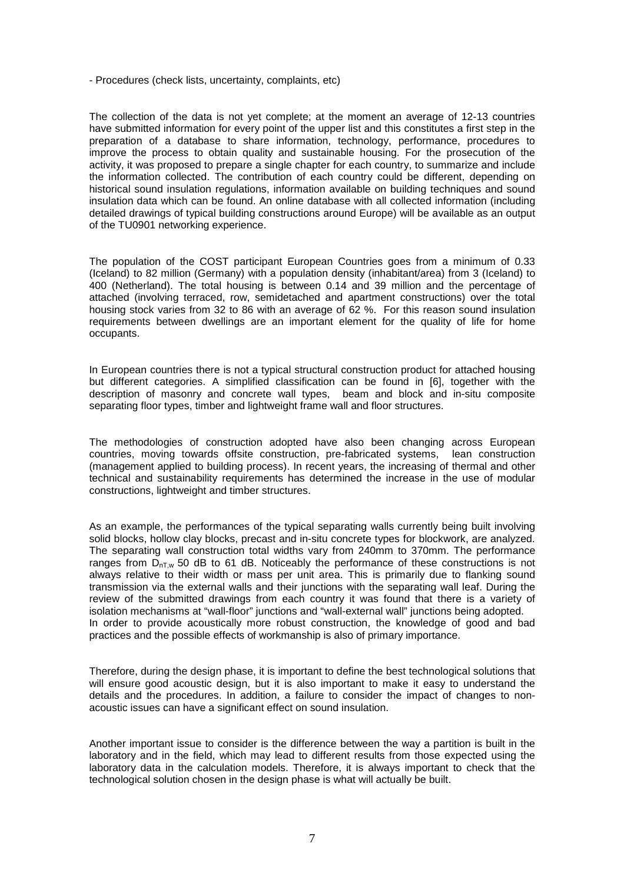- Procedures (check lists, uncertainty, complaints, etc)

The collection of the data is not yet complete; at the moment an average of 12-13 countries have submitted information for every point of the upper list and this constitutes a first step in the preparation of a database to share information, technology, performance, procedures to improve the process to obtain quality and sustainable housing. For the prosecution of the activity, it was proposed to prepare a single chapter for each country, to summarize and include the information collected. The contribution of each country could be different, depending on historical sound insulation regulations, information available on building techniques and sound insulation data which can be found. An online database with all collected information (including detailed drawings of typical building constructions around Europe) will be available as an output of the TU0901 networking experience.

The population of the COST participant European Countries goes from a minimum of 0.33 (Iceland) to 82 million (Germany) with a population density (inhabitant/area) from 3 (Iceland) to 400 (Netherland). The total housing is between 0.14 and 39 million and the percentage of attached (involving terraced, row, semidetached and apartment constructions) over the total housing stock varies from 32 to 86 with an average of 62 %. For this reason sound insulation requirements between dwellings are an important element for the quality of life for home occupants.

In European countries there is not a typical structural construction product for attached housing but different categories. A simplified classification can be found in [6], together with the description of masonry and concrete wall types, beam and block and in-situ composite separating floor types, timber and lightweight frame wall and floor structures.

The methodologies of construction adopted have also been changing across European countries, moving towards offsite construction, pre-fabricated systems, lean construction (management applied to building process). In recent years, the increasing of thermal and other technical and sustainability requirements has determined the increase in the use of modular constructions, lightweight and timber structures.

As an example, the performances of the typical separating walls currently being built involving solid blocks, hollow clay blocks, precast and in-situ concrete types for blockwork, are analyzed. The separating wall construction total widths vary from 240mm to 370mm. The performance ranges from  $D_{nTw}$  50 dB to 61 dB. Noticeably the performance of these constructions is not always relative to their width or mass per unit area. This is primarily due to flanking sound transmission via the external walls and their junctions with the separating wall leaf. During the review of the submitted drawings from each country it was found that there is a variety of isolation mechanisms at "wall-floor" junctions and "wall-external wall" junctions being adopted. In order to provide acoustically more robust construction, the knowledge of good and bad practices and the possible effects of workmanship is also of primary importance.

Therefore, during the design phase, it is important to define the best technological solutions that will ensure good acoustic design, but it is also important to make it easy to understand the details and the procedures. In addition, a failure to consider the impact of changes to nonacoustic issues can have a significant effect on sound insulation.

Another important issue to consider is the difference between the way a partition is built in the laboratory and in the field, which may lead to different results from those expected using the laboratory data in the calculation models. Therefore, it is always important to check that the technological solution chosen in the design phase is what will actually be built.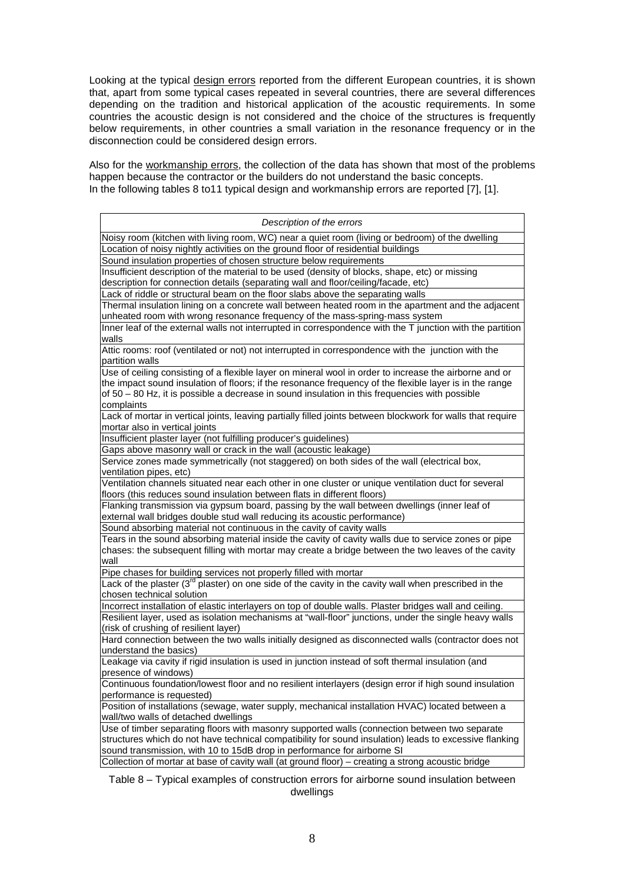Looking at the typical design errors reported from the different European countries, it is shown that, apart from some typical cases repeated in several countries, there are several differences depending on the tradition and historical application of the acoustic requirements. In some countries the acoustic design is not considered and the choice of the structures is frequently below requirements, in other countries a small variation in the resonance frequency or in the disconnection could be considered design errors.

Also for the workmanship errors, the collection of the data has shown that most of the problems happen because the contractor or the builders do not understand the basic concepts. In the following tables 8 to11 typical design and workmanship errors are reported [7], [1].

| Description of the errors                                                                                         |
|-------------------------------------------------------------------------------------------------------------------|
| Noisy room (kitchen with living room, WC) near a quiet room (living or bedroom) of the dwelling                   |
| Location of noisy nightly activities on the ground floor of residential buildings                                 |
| Sound insulation properties of chosen structure below requirements                                                |
| Insufficient description of the material to be used (density of blocks, shape, etc) or missing                    |
| description for connection details (separating wall and floor/ceiling/facade, etc)                                |
| Lack of riddle or structural beam on the floor slabs above the separating walls                                   |
| Thermal insulation lining on a concrete wall between heated room in the apartment and the adjacent                |
| unheated room with wrong resonance frequency of the mass-spring-mass system                                       |
| Inner leaf of the external walls not interrupted in correspondence with the T junction with the partition         |
| walls                                                                                                             |
| Attic rooms: roof (ventilated or not) not interrupted in correspondence with the junction with the                |
| partition walls                                                                                                   |
|                                                                                                                   |
| Use of ceiling consisting of a flexible layer on mineral wool in order to increase the airborne and or            |
| the impact sound insulation of floors; if the resonance frequency of the flexible layer is in the range           |
| of $50 - 80$ Hz, it is possible a decrease in sound insulation in this frequencies with possible                  |
| complaints                                                                                                        |
| Lack of mortar in vertical joints, leaving partially filled joints between blockwork for walls that require       |
| mortar also in vertical joints                                                                                    |
| Insufficient plaster layer (not fulfilling producer's guidelines)                                                 |
| Gaps above masonry wall or crack in the wall (acoustic leakage)                                                   |
| Service zones made symmetrically (not staggered) on both sides of the wall (electrical box,                       |
| ventilation pipes, etc)                                                                                           |
| Ventilation channels situated near each other in one cluster or unique ventilation duct for several               |
| floors (this reduces sound insulation between flats in different floors)                                          |
| Flanking transmission via gypsum board, passing by the wall between dwellings (inner leaf of                      |
| external wall bridges double stud wall reducing its acoustic performance)                                         |
| Sound absorbing material not continuous in the cavity of cavity walls                                             |
| Tears in the sound absorbing material inside the cavity of cavity walls due to service zones or pipe              |
| chases: the subsequent filling with mortar may create a bridge between the two leaves of the cavity               |
| wall                                                                                                              |
| Pipe chases for building services not properly filled with mortar                                                 |
| Lack of the plaster (3 <sup>rd</sup> plaster) on one side of the cavity in the cavity wall when prescribed in the |
| chosen technical solution                                                                                         |
| Incorrect installation of elastic interlayers on top of double walls. Plaster bridges wall and ceiling.           |
| Resilient layer, used as isolation mechanisms at "wall-floor" junctions, under the single heavy walls             |
| (risk of crushing of resilient layer)                                                                             |
| Hard connection between the two walls initially designed as disconnected walls (contractor does not               |
| understand the basics)                                                                                            |
| Leakage via cavity if rigid insulation is used in junction instead of soft thermal insulation (and                |
| presence of windows)                                                                                              |
| Continuous foundation/lowest floor and no resilient interlayers (design error if high sound insulation            |
| performance is requested)                                                                                         |
| Position of installations (sewage, water supply, mechanical installation HVAC) located between a                  |
| wall/two walls of detached dwellings                                                                              |
| Use of timber separating floors with masonry supported walls (connection between two separate                     |
| structures which do not have technical compatibility for sound insulation) leads to excessive flanking            |
| sound transmission, with 10 to 15dB drop in performance for airborne SI                                           |
| Collection of mortar at base of cavity wall (at ground floor) - creating a strong acoustic bridge                 |

Table 8 – Typical examples of construction errors for airborne sound insulation between dwellings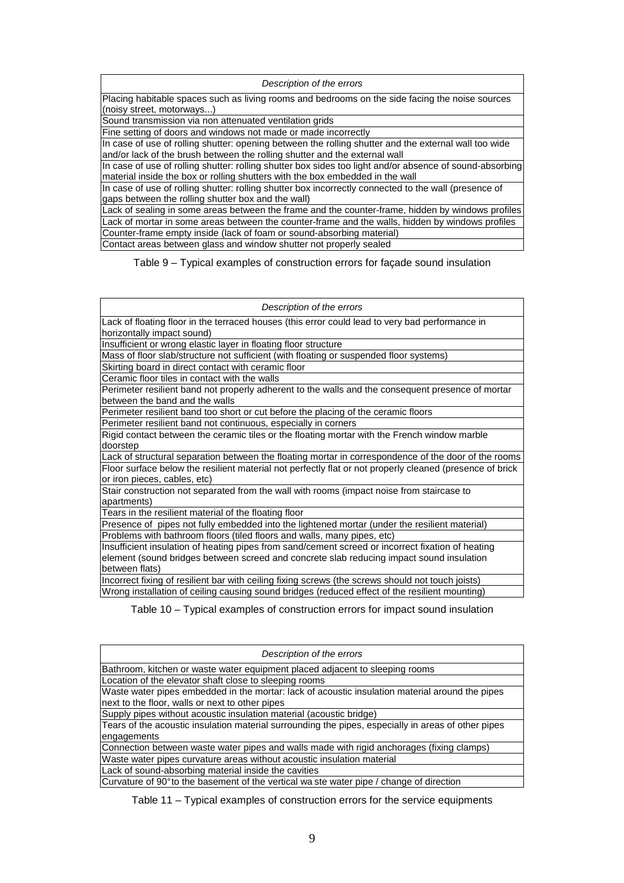Description of the errors

Placing habitable spaces such as living rooms and bedrooms on the side facing the noise sources (noisy street, motorways...)

Sound transmission via non attenuated ventilation grids

Fine setting of doors and windows not made or made incorrectly

In case of use of rolling shutter: opening between the rolling shutter and the external wall too wide and/or lack of the brush between the rolling shutter and the external wall

In case of use of rolling shutter: rolling shutter box sides too light and/or absence of sound-absorbing material inside the box or rolling shutters with the box embedded in the wall

In case of use of rolling shutter: rolling shutter box incorrectly connected to the wall (presence of gaps between the rolling shutter box and the wall)

Lack of sealing in some areas between the frame and the counter-frame, hidden by windows profiles Lack of mortar in some areas between the counter-frame and the walls, hidden by windows profiles Counter-frame empty inside (lack of foam or sound-absorbing material) Contact areas between glass and window shutter not properly sealed

Table 9 – Typical examples of construction errors for façade sound insulation

Description of the errors

Lack of floating floor in the terraced houses (this error could lead to very bad performance in horizontally impact sound)

Insufficient or wrong elastic layer in floating floor structure

Mass of floor slab/structure not sufficient (with floating or suspended floor systems)

Skirting board in direct contact with ceramic floor

Ceramic floor tiles in contact with the walls

Perimeter resilient band not properly adherent to the walls and the consequent presence of mortar between the band and the walls

Perimeter resilient band too short or cut before the placing of the ceramic floors

Perimeter resilient band not continuous, especially in corners

Rigid contact between the ceramic tiles or the floating mortar with the French window marble doorstep

Lack of structural separation between the floating mortar in correspondence of the door of the rooms Floor surface below the resilient material not perfectly flat or not properly cleaned (presence of brick or iron pieces, cables, etc)

Stair construction not separated from the wall with rooms (impact noise from staircase to apartments)

Tears in the resilient material of the floating floor

Presence of pipes not fully embedded into the lightened mortar (under the resilient material) Problems with bathroom floors (tiled floors and walls, many pipes, etc)

Insufficient insulation of heating pipes from sand/cement screed or incorrect fixation of heating element (sound bridges between screed and concrete slab reducing impact sound insulation between flats)

Incorrect fixing of resilient bar with ceiling fixing screws (the screws should not touch joists) Wrong installation of ceiling causing sound bridges (reduced effect of the resilient mounting)

Table 10 – Typical examples of construction errors for impact sound insulation

| Description of the errors                                                                           |
|-----------------------------------------------------------------------------------------------------|
| Bathroom, kitchen or waste water equipment placed adjacent to sleeping rooms                        |
| Location of the elevator shaft close to sleeping rooms                                              |
| Waste water pipes embedded in the mortar: lack of acoustic insulation material around the pipes     |
| next to the floor, walls or next to other pipes                                                     |
| Supply pipes without acoustic insulation material (acoustic bridge)                                 |
| Tears of the acoustic insulation material surrounding the pipes, especially in areas of other pipes |
| engagements                                                                                         |
| Connection between waste water pipes and walls made with rigid anchorages (fixing clamps)           |
| Waste water pipes curvature areas without acoustic insulation material                              |
| Lack of sound-absorbing material inside the cavities                                                |
| Curvature of 90° to the basement of the vertical wa ste water pipe / change of direction            |

Table 11 – Typical examples of construction errors for the service equipments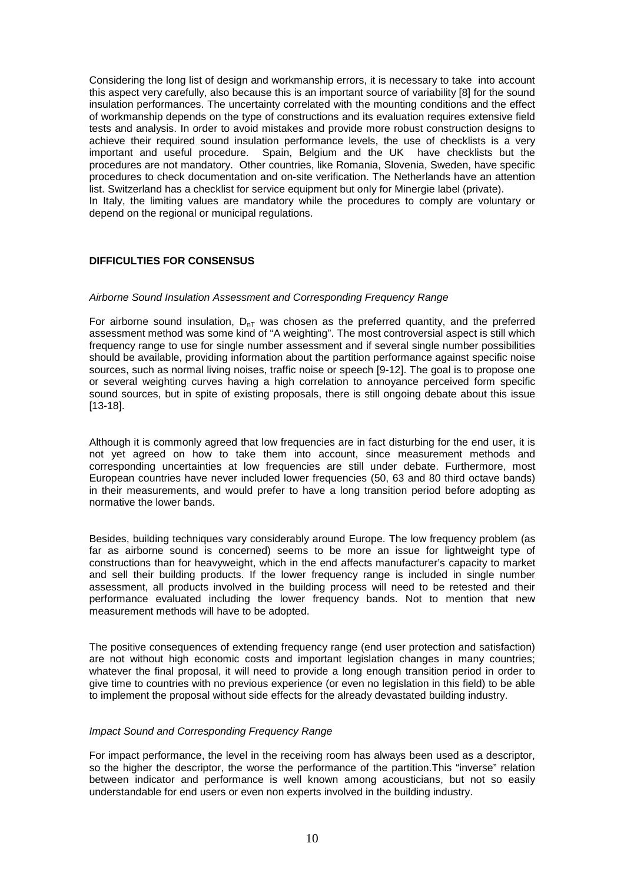Considering the long list of design and workmanship errors, it is necessary to take into account this aspect very carefully, also because this is an important source of variability [8] for the sound insulation performances. The uncertainty correlated with the mounting conditions and the effect of workmanship depends on the type of constructions and its evaluation requires extensive field tests and analysis. In order to avoid mistakes and provide more robust construction designs to achieve their required sound insulation performance levels, the use of checklists is a very important and useful procedure. Spain, Belgium and the UK have checklists but the procedures are not mandatory. Other countries, like Romania, Slovenia, Sweden, have specific procedures to check documentation and on-site verification. The Netherlands have an attention list. Switzerland has a checklist for service equipment but only for Minergie label (private).

In Italy, the limiting values are mandatory while the procedures to comply are voluntary or depend on the regional or municipal regulations.

# **DIFFICULTIES FOR CONSENSUS**

### Airborne Sound Insulation Assessment and Corresponding Frequency Range

For airborne sound insulation,  $D_{nT}$  was chosen as the preferred quantity, and the preferred assessment method was some kind of "A weighting". The most controversial aspect is still which frequency range to use for single number assessment and if several single number possibilities should be available, providing information about the partition performance against specific noise sources, such as normal living noises, traffic noise or speech [9-12]. The goal is to propose one or several weighting curves having a high correlation to annoyance perceived form specific sound sources, but in spite of existing proposals, there is still ongoing debate about this issue [13-18].

Although it is commonly agreed that low frequencies are in fact disturbing for the end user, it is not yet agreed on how to take them into account, since measurement methods and corresponding uncertainties at low frequencies are still under debate. Furthermore, most European countries have never included lower frequencies (50, 63 and 80 third octave bands) in their measurements, and would prefer to have a long transition period before adopting as normative the lower bands.

Besides, building techniques vary considerably around Europe. The low frequency problem (as far as airborne sound is concerned) seems to be more an issue for lightweight type of constructions than for heavyweight, which in the end affects manufacturer's capacity to market and sell their building products. If the lower frequency range is included in single number assessment, all products involved in the building process will need to be retested and their performance evaluated including the lower frequency bands. Not to mention that new measurement methods will have to be adopted.

The positive consequences of extending frequency range (end user protection and satisfaction) are not without high economic costs and important legislation changes in many countries; whatever the final proposal, it will need to provide a long enough transition period in order to give time to countries with no previous experience (or even no legislation in this field) to be able to implement the proposal without side effects for the already devastated building industry.

### Impact Sound and Corresponding Frequency Range

For impact performance, the level in the receiving room has always been used as a descriptor, so the higher the descriptor, the worse the performance of the partition.This "inverse" relation between indicator and performance is well known among acousticians, but not so easily understandable for end users or even non experts involved in the building industry.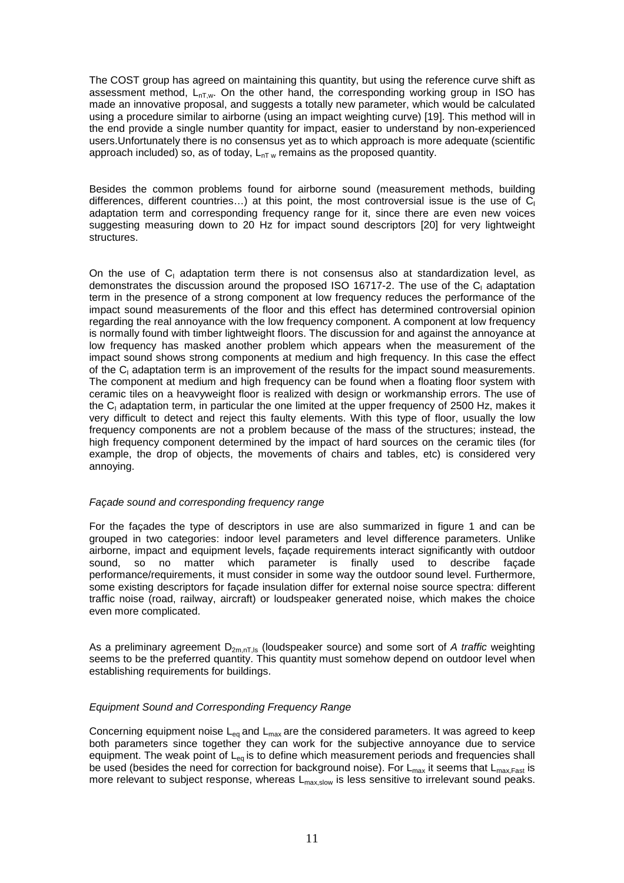The COST group has agreed on maintaining this quantity, but using the reference curve shift as assessment method,  $L_{nT,w}$ . On the other hand, the corresponding working group in ISO has made an innovative proposal, and suggests a totally new parameter, which would be calculated using a procedure similar to airborne (using an impact weighting curve) [19]. This method will in the end provide a single number quantity for impact, easier to understand by non-experienced users.Unfortunately there is no consensus yet as to which approach is more adequate (scientific approach included) so, as of today,  $L_{nT w}$  remains as the proposed quantity.

Besides the common problems found for airborne sound (measurement methods, building differences, different countries...) at this point, the most controversial issue is the use of  $\tilde{C_1}$ adaptation term and corresponding frequency range for it, since there are even new voices suggesting measuring down to 20 Hz for impact sound descriptors [20] for very lightweight structures.

On the use of  $C_1$  adaptation term there is not consensus also at standardization level, as demonstrates the discussion around the proposed ISO 16717-2. The use of the C<sub>I</sub> adaptation term in the presence of a strong component at low frequency reduces the performance of the impact sound measurements of the floor and this effect has determined controversial opinion regarding the real annoyance with the low frequency component. A component at low frequency is normally found with timber lightweight floors. The discussion for and against the annoyance at low frequency has masked another problem which appears when the measurement of the impact sound shows strong components at medium and high frequency. In this case the effect of the  $C_1$  adaptation term is an improvement of the results for the impact sound measurements. The component at medium and high frequency can be found when a floating floor system with ceramic tiles on a heavyweight floor is realized with design or workmanship errors. The use of the C<sub>I</sub> adaptation term, in particular the one limited at the upper frequency of 2500 Hz, makes it very difficult to detect and reject this faulty elements. With this type of floor, usually the low frequency components are not a problem because of the mass of the structures; instead, the high frequency component determined by the impact of hard sources on the ceramic tiles (for example, the drop of objects, the movements of chairs and tables, etc) is considered very annoying.

# Façade sound and corresponding frequency range

For the façades the type of descriptors in use are also summarized in figure 1 and can be grouped in two categories: indoor level parameters and level difference parameters. Unlike airborne, impact and equipment levels, façade requirements interact significantly with outdoor sound, so no matter which parameter is finally used to describe façade performance/requirements, it must consider in some way the outdoor sound level. Furthermore, some existing descriptors for façade insulation differ for external noise source spectra: different traffic noise (road, railway, aircraft) or loudspeaker generated noise, which makes the choice even more complicated.

As a preliminary agreement  $D_{2m,nT,ls}$  (loudspeaker source) and some sort of A traffic weighting seems to be the preferred quantity. This quantity must somehow depend on outdoor level when establishing requirements for buildings.

# Equipment Sound and Corresponding Frequency Range

Concerning equipment noise  $L_{eq}$  and  $L_{max}$  are the considered parameters. It was agreed to keep both parameters since together they can work for the subjective annoyance due to service equipment. The weak point of  $L_{eq}$  is to define which measurement periods and frequencies shall be used (besides the need for correction for background noise). For  $L_{max}$  it seems that  $L_{max,Fast}$  is more relevant to subject response, whereas  $L_{\text{max,slow}}$  is less sensitive to irrelevant sound peaks.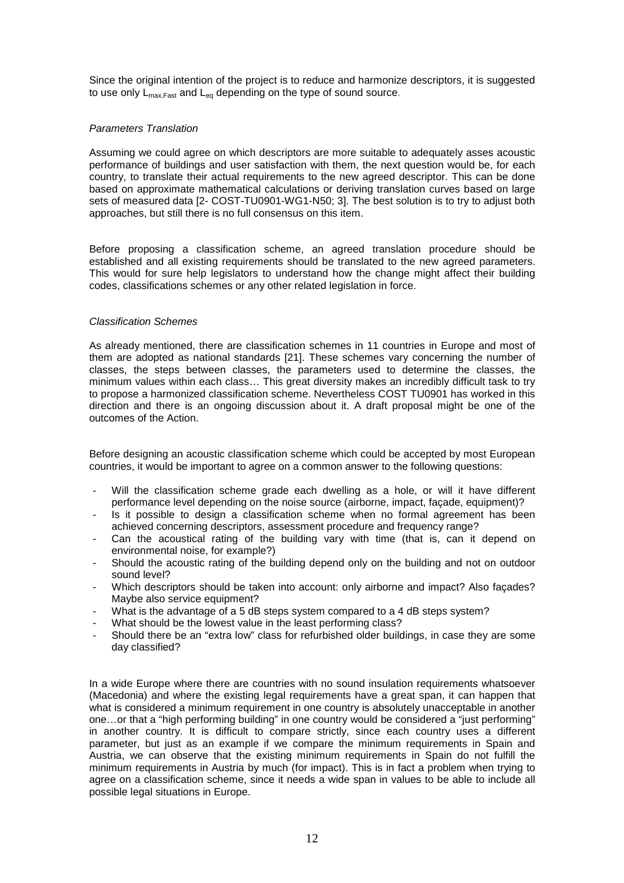Since the original intention of the project is to reduce and harmonize descriptors, it is suggested to use only  $L_{\text{max Fast}}$  and  $L_{\text{eq}}$  depending on the type of sound source.

# Parameters Translation

Assuming we could agree on which descriptors are more suitable to adequately asses acoustic performance of buildings and user satisfaction with them, the next question would be, for each country, to translate their actual requirements to the new agreed descriptor. This can be done based on approximate mathematical calculations or deriving translation curves based on large sets of measured data [2- COST-TU0901-WG1-N50; 3]. The best solution is to try to adjust both approaches, but still there is no full consensus on this item.

Before proposing a classification scheme, an agreed translation procedure should be established and all existing requirements should be translated to the new agreed parameters. This would for sure help legislators to understand how the change might affect their building codes, classifications schemes or any other related legislation in force.

# Classification Schemes

As already mentioned, there are classification schemes in 11 countries in Europe and most of them are adopted as national standards [21]. These schemes vary concerning the number of classes, the steps between classes, the parameters used to determine the classes, the minimum values within each class… This great diversity makes an incredibly difficult task to try to propose a harmonized classification scheme. Nevertheless COST TU0901 has worked in this direction and there is an ongoing discussion about it. A draft proposal might be one of the outcomes of the Action.

Before designing an acoustic classification scheme which could be accepted by most European countries, it would be important to agree on a common answer to the following questions:

- Will the classification scheme grade each dwelling as a hole, or will it have different performance level depending on the noise source (airborne, impact, façade, equipment)?
- Is it possible to design a classification scheme when no formal agreement has been achieved concerning descriptors, assessment procedure and frequency range?
- Can the acoustical rating of the building vary with time (that is, can it depend on environmental noise, for example?)
- Should the acoustic rating of the building depend only on the building and not on outdoor sound level?
- Which descriptors should be taken into account: only airborne and impact? Also façades? Maybe also service equipment?
- What is the advantage of a 5 dB steps system compared to a 4 dB steps system?
- What should be the lowest value in the least performing class?
- Should there be an "extra low" class for refurbished older buildings, in case they are some day classified?

In a wide Europe where there are countries with no sound insulation requirements whatsoever (Macedonia) and where the existing legal requirements have a great span, it can happen that what is considered a minimum requirement in one country is absolutely unacceptable in another one…or that a "high performing building" in one country would be considered a "just performing" in another country. It is difficult to compare strictly, since each country uses a different parameter, but just as an example if we compare the minimum requirements in Spain and Austria, we can observe that the existing minimum requirements in Spain do not fulfill the minimum requirements in Austria by much (for impact). This is in fact a problem when trying to agree on a classification scheme, since it needs a wide span in values to be able to include all possible legal situations in Europe.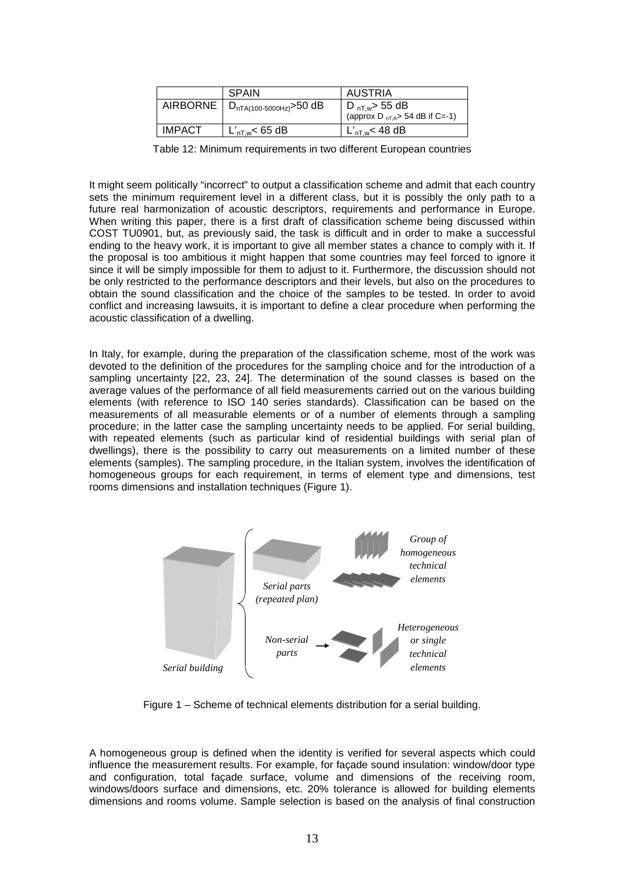|          | <b>SPAIN</b>                 | AUSTRIA                                                                 |
|----------|------------------------------|-------------------------------------------------------------------------|
| AIRBORNE | $D_{nTA(100-5000Hz)}$ >50 dB | D <sub>nT,w</sub> > 55 dB<br>(approx D <sub>nT,A</sub> > 54 dB if C=-1) |
| IMPACT   | $L'_{\text{nT.w}}$ < 65 dB   | L' <sub>nT.w</sub> < 48 dB                                              |

Table 12: Minimum requirements in two different European countries

It might seem politically "incorrect" to output a classification scheme and admit that each country sets the minimum requirement level in a different class, but it is possibly the only path to a future real harmonization of acoustic descriptors, requirements and performance in Europe. When writing this paper, there is a first draft of classification scheme being discussed within COST TU0901, but, as previously said, the task is difficult and in order to make a successful ending to the heavy work, it is important to give all member states a chance to comply with it. If the proposal is too ambitious it might happen that some countries may feel forced to ignore it since it will be simply impossible for them to adjust to it. Furthermore, the discussion should not be only restricted to the performance descriptors and their levels, but also on the procedures to obtain the sound classification and the choice of the samples to be tested. In order to avoid conflict and increasing lawsuits, it is important to define a clear procedure when performing the acoustic classification of a dwelling.

In Italy, for example, during the preparation of the classification scheme, most of the work was devoted to the definition of the procedures for the sampling choice and for the introduction of a sampling uncertainty [22, 23, 24]. The determination of the sound classes is based on the average values of the performance of all field measurements carried out on the various building elements (with reference to ISO 140 series standards). Classification can be based on the measurements of all measurable elements or of a number of elements through a sampling procedure; in the latter case the sampling uncertainty needs to be applied. For serial building, with repeated elements (such as particular kind of residential buildings with serial plan of dwellings), there is the possibility to carry out measurements on a limited number of these elements (samples). The sampling procedure, in the Italian system, involves the identification of homogeneous groups for each requirement, in terms of element type and dimensions, test rooms dimensions and installation techniques (Figure 1).



Figure 1 – Scheme of technical elements distribution for a serial building.

A homogeneous group is defined when the identity is verified for several aspects which could influence the measurement results. For example, for façade sound insulation: window/door type and configuration, total façade surface, volume and dimensions of the receiving room, windows/doors surface and dimensions, etc. 20% tolerance is allowed for building elements dimensions and rooms volume. Sample selection is based on the analysis of final construction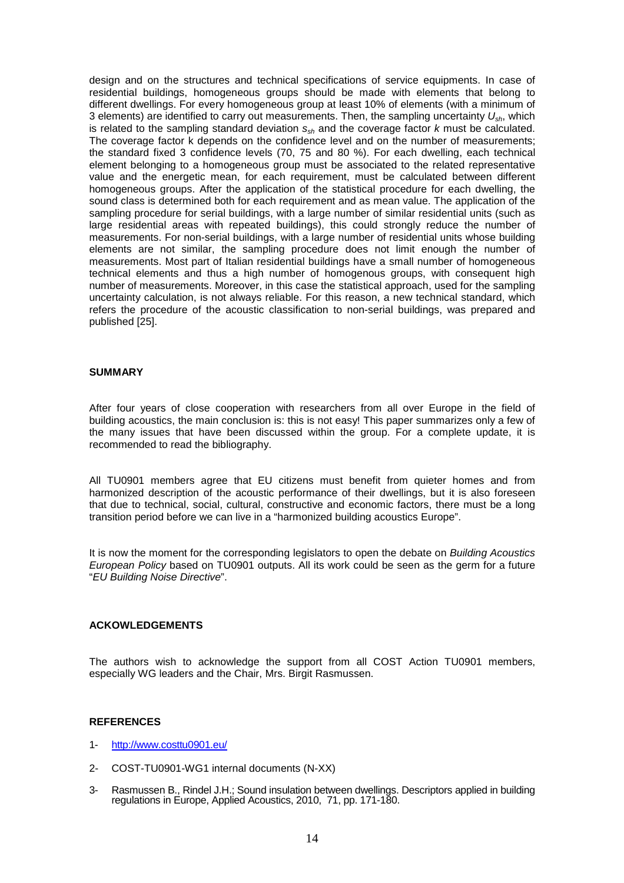design and on the structures and technical specifications of service equipments. In case of residential buildings, homogeneous groups should be made with elements that belong to different dwellings. For every homogeneous group at least 10% of elements (with a minimum of 3 elements) are identified to carry out measurements. Then, the sampling uncertainty  $U_{\rm sh}$ , which is related to the sampling standard deviation  $s_{sh}$  and the coverage factor k must be calculated. The coverage factor k depends on the confidence level and on the number of measurements; the standard fixed 3 confidence levels (70, 75 and 80 %). For each dwelling, each technical element belonging to a homogeneous group must be associated to the related representative value and the energetic mean, for each requirement, must be calculated between different homogeneous groups. After the application of the statistical procedure for each dwelling, the sound class is determined both for each requirement and as mean value. The application of the sampling procedure for serial buildings, with a large number of similar residential units (such as large residential areas with repeated buildings), this could strongly reduce the number of measurements. For non-serial buildings, with a large number of residential units whose building elements are not similar, the sampling procedure does not limit enough the number of measurements. Most part of Italian residential buildings have a small number of homogeneous technical elements and thus a high number of homogenous groups, with consequent high number of measurements. Moreover, in this case the statistical approach, used for the sampling uncertainty calculation, is not always reliable. For this reason, a new technical standard, which refers the procedure of the acoustic classification to non-serial buildings, was prepared and published [25].

### **SUMMARY**

After four years of close cooperation with researchers from all over Europe in the field of building acoustics, the main conclusion is: this is not easy! This paper summarizes only a few of the many issues that have been discussed within the group. For a complete update, it is recommended to read the bibliography.

All TU0901 members agree that EU citizens must benefit from quieter homes and from harmonized description of the acoustic performance of their dwellings, but it is also foreseen that due to technical, social, cultural, constructive and economic factors, there must be a long transition period before we can live in a "harmonized building acoustics Europe".

It is now the moment for the corresponding legislators to open the debate on Building Acoustics European Policy based on TU0901 outputs. All its work could be seen as the germ for a future "EU Building Noise Directive".

# **ACKOWLEDGEMENTS**

The authors wish to acknowledge the support from all COST Action TU0901 members, especially WG leaders and the Chair, Mrs. Birgit Rasmussen.

#### **REFERENCES**

- 1- http://www.costtu0901.eu/
- 2- COST-TU0901-WG1 internal documents (N-XX)
- 3- Rasmussen B., Rindel J.H.; Sound insulation between dwellings. Descriptors applied in building regulations in Europe, Applied Acoustics, 2010, 71, pp. 171-180.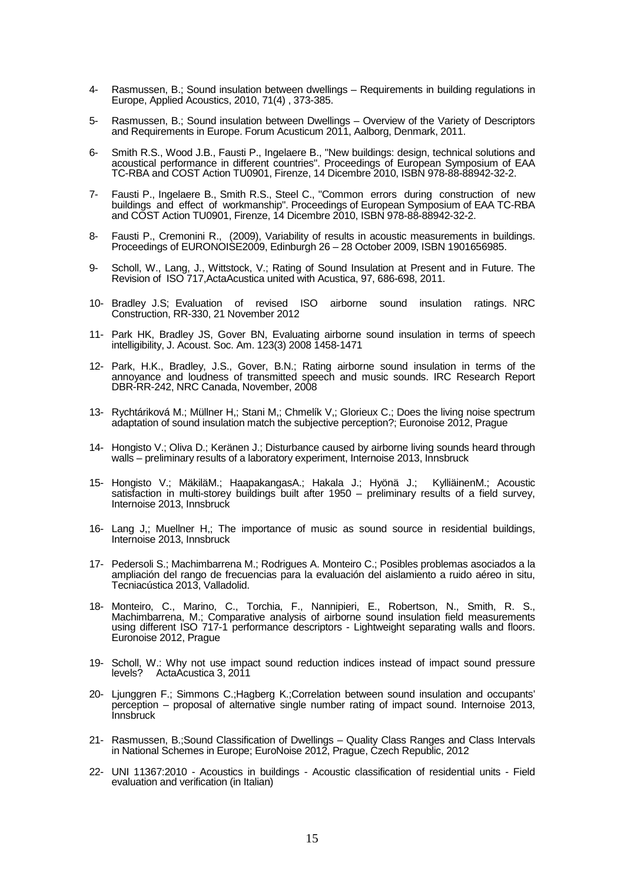- 4- Rasmussen, B.; Sound insulation between dwellings Requirements in building regulations in Europe, Applied Acoustics, 2010, 71(4) , 373-385.
- 5- Rasmussen, B.; Sound insulation between Dwellings Overview of the Variety of Descriptors and Requirements in Europe. Forum Acusticum 2011, Aalborg, Denmark, 2011.
- 6- Smith R.S., Wood J.B., Fausti P., Ingelaere B., "New buildings: design, technical solutions and acoustical performance in different countries". Proceedings of European Symposium of EAA TC-RBA and COST Action TU0901, Firenze, 14 Dicembre 2010, ISBN 978-88-88942-32-2.
- 7- Fausti P., Ingelaere B., Smith R.S., Steel C., "Common errors during construction of new buildings and effect of workmanship". Proceedings of European Symposium of EAA TC-RBA and COST Action TU0901, Firenze, 14 Dicembre 2010, ISBN 978-88-88942-32-2.
- 8- Fausti P., Cremonini R., (2009), Variability of results in acoustic measurements in buildings. Proceedings of EURONOISE2009, Edinburgh 26 – 28 October 2009, ISBN 1901656985.
- 9- Scholl, W., Lang, J., Wittstock, V.; Rating of Sound Insulation at Present and in Future. The Revision of ISO 717,ActaAcustica united with Acustica, 97, 686-698, 2011.
- 10- Bradley J.S; Evaluation of revised ISO airborne sound insulation ratings. NRC Construction, RR-330, 21 November 2012
- 11- Park HK, Bradley JS, Gover BN, Evaluating airborne sound insulation in terms of speech intelligibility, J. Acoust. Soc. Am. 123(3) 2008 1458-1471
- 12- Park, H.K., Bradley, J.S., Gover, B.N.; Rating airborne sound insulation in terms of the annoyance and loudness of transmitted speech and music sounds. IRC Research Report DBR-RR-242, NRC Canada, November, 2008
- 13- Rychtáriková M.; Müllner H,; Stani M,; Chmelík V,; Glorieux C.; Does the living noise spectrum adaptation of sound insulation match the subjective perception?; Euronoise 2012, Prague
- 14- Hongisto V.; Oliva D.; Keränen J.; Disturbance caused by airborne living sounds heard through walls – preliminary results of a laboratory experiment, Internoise 2013, Innsbruck
- 15- Hongisto V.; MäkiläM.; HaapakangasA.; Hakala J.; Hyönä J.; KylliäinenM.; Acoustic satisfaction in multi-storey buildings built after 1950 – preliminary results of a field survey, Internoise 2013, Innsbruck
- 16- Lang J,; Muellner H,; The importance of music as sound source in residential buildings, Internoise 2013, Innsbruck
- 17- Pedersoli S.; Machimbarrena M.; Rodrigues A. Monteiro C.; Posibles problemas asociados a la ampliación del rango de frecuencias para la evaluación del aislamiento a ruido aéreo in situ, Tecniacústica 2013, Valladolid.
- 18- Monteiro, C., Marino, C., Torchia, F., Nannipieri, E., Robertson, N., Smith, R. S., Machimbarrena, M.; Comparative analysis of airborne sound insulation field measurements using different ISO 717-1 performance descriptors - Lightweight separating walls and floors. Euronoise 2012, Prague
- 19- Scholl, W.: Why not use impact sound reduction indices instead of impact sound pressure levels? ActaAcustica 3, 2011
- 20- Ljunggren F.; Simmons C.;Hagberg K.;Correlation between sound insulation and occupants' perception – proposal of alternative single number rating of impact sound. Internoise 2013, **Innsbruck**
- 21- Rasmussen, B.;Sound Classification of Dwellings Quality Class Ranges and Class Intervals in National Schemes in Europe; EuroNoise 2012, Prague, Czech Republic, 2012
- 22- UNI 11367:2010 Acoustics in buildings Acoustic classification of residential units Field evaluation and verification (in Italian)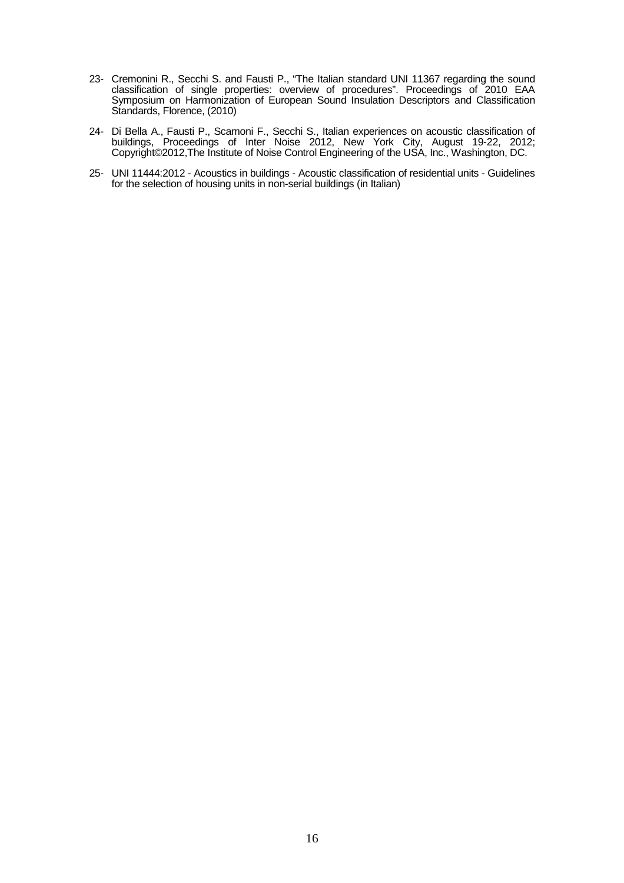- 23- Cremonini R., Secchi S. and Fausti P., "The Italian standard UNI 11367 regarding the sound classification of single properties: overview of procedures". Proceedings of 2010 EAA Symposium on Harmonization of European Sound Insulation Descriptors and Classification Standards, Florence, (2010)
- 24- Di Bella A., Fausti P., Scamoni F., Secchi S., Italian experiences on acoustic classification of buildings, Proceedings of Inter Noise 2012, New York City, August 19-22, 2012; Copyright©2012,The Institute of Noise Control Engineering of the USA, Inc., Washington, DC.
- 25- UNI 11444:2012 Acoustics in buildings Acoustic classification of residential units Guidelines for the selection of housing units in non-serial buildings (in Italian)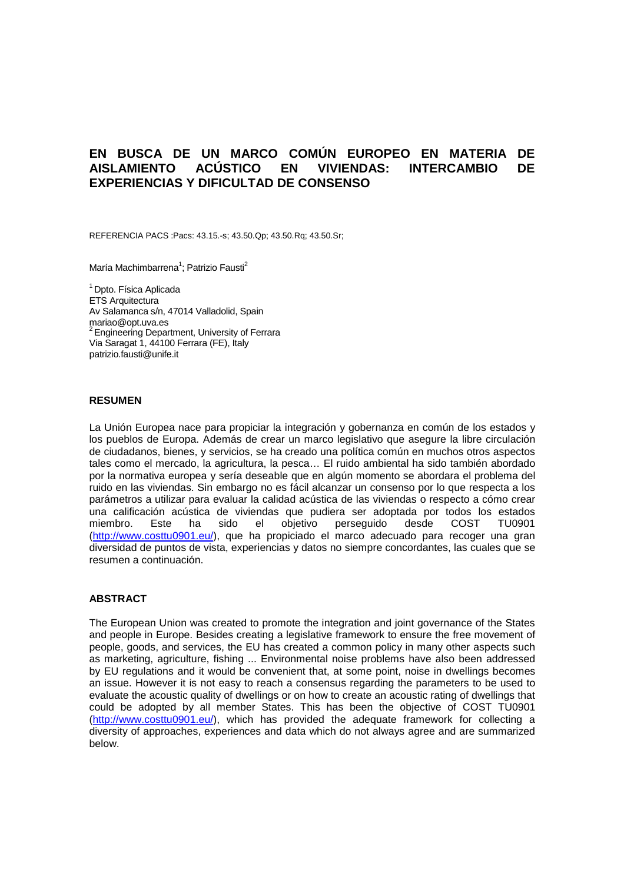# **EN BUSCA DE UN MARCO COMÚN EUROPEO EN MATERIA DE AISLAMIENTO ACÚSTICO EN VIVIENDAS: INTERCAMBIO DE EXPERIENCIAS Y DIFICULTAD DE CONSENSO**

REFERENCIA PACS :Pacs: 43.15.-s; 43.50.Qp; 43.50.Rq; 43.50.Sr;

María Machimbarrena<sup>1</sup>; Patrizio Fausti<sup>2</sup>

<sup>1</sup> Dpto. Física Aplicada ETS Arquitectura Av Salamanca s/n, 47014 Valladolid, Spain mariao@opt.uva.es <sup>2</sup> Engineering Department, University of Ferrara Via Saragat 1, 44100 Ferrara (FE), Italy patrizio.fausti@unife.it

#### **RESUMEN**

La Unión Europea nace para propiciar la integración y gobernanza en común de los estados y los pueblos de Europa. Además de crear un marco legislativo que asegure la libre circulación de ciudadanos, bienes, y servicios, se ha creado una política común en muchos otros aspectos tales como el mercado, la agricultura, la pesca… El ruido ambiental ha sido también abordado por la normativa europea y sería deseable que en algún momento se abordara el problema del ruido en las viviendas. Sin embargo no es fácil alcanzar un consenso por lo que respecta a los parámetros a utilizar para evaluar la calidad acústica de las viviendas o respecto a cómo crear una calificación acústica de viviendas que pudiera ser adoptada por todos los estados miembro. Este ha sido el objetivo perseguido desde COST TU0901 (http://www.costtu0901.eu/), que ha propiciado el marco adecuado para recoger una gran diversidad de puntos de vista, experiencias y datos no siempre concordantes, las cuales que se resumen a continuación.

### **ABSTRACT**

The European Union was created to promote the integration and joint governance of the States and people in Europe. Besides creating a legislative framework to ensure the free movement of people, goods, and services, the EU has created a common policy in many other aspects such as marketing, agriculture, fishing ... Environmental noise problems have also been addressed by EU regulations and it would be convenient that, at some point, noise in dwellings becomes an issue. However it is not easy to reach a consensus regarding the parameters to be used to evaluate the acoustic quality of dwellings or on how to create an acoustic rating of dwellings that could be adopted by all member States. This has been the objective of COST TU0901 (http://www.costtu0901.eu/), which has provided the adequate framework for collecting a diversity of approaches, experiences and data which do not always agree and are summarized below.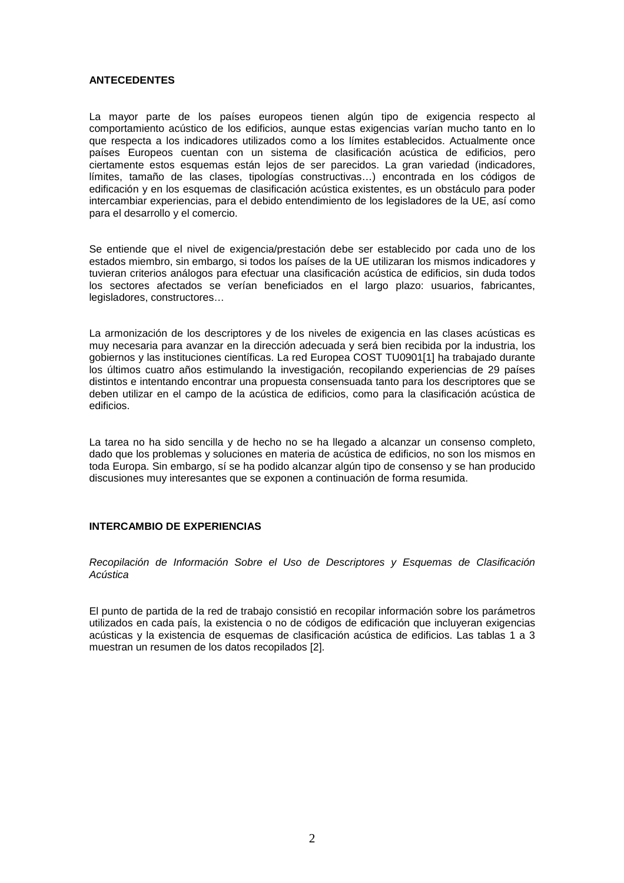#### **ANTECEDENTES**

La mayor parte de los países europeos tienen algún tipo de exigencia respecto al comportamiento acústico de los edificios, aunque estas exigencias varían mucho tanto en lo que respecta a los indicadores utilizados como a los límites establecidos. Actualmente once países Europeos cuentan con un sistema de clasificación acústica de edificios, pero ciertamente estos esquemas están lejos de ser parecidos. La gran variedad (indicadores, límites, tamaño de las clases, tipologías constructivas…) encontrada en los códigos de edificación y en los esquemas de clasificación acústica existentes, es un obstáculo para poder intercambiar experiencias, para el debido entendimiento de los legisladores de la UE, así como para el desarrollo y el comercio.

Se entiende que el nivel de exigencia/prestación debe ser establecido por cada uno de los estados miembro, sin embargo, si todos los países de la UE utilizaran los mismos indicadores y tuvieran criterios análogos para efectuar una clasificación acústica de edificios, sin duda todos los sectores afectados se verían beneficiados en el largo plazo: usuarios, fabricantes, legisladores, constructores…

La armonización de los descriptores y de los niveles de exigencia en las clases acústicas es muy necesaria para avanzar en la dirección adecuada y será bien recibida por la industria, los gobiernos y las instituciones científicas. La red Europea COST TU0901[1] ha trabajado durante los últimos cuatro años estimulando la investigación, recopilando experiencias de 29 países distintos e intentando encontrar una propuesta consensuada tanto para los descriptores que se deben utilizar en el campo de la acústica de edificios, como para la clasificación acústica de edificios.

La tarea no ha sido sencilla y de hecho no se ha llegado a alcanzar un consenso completo, dado que los problemas y soluciones en materia de acústica de edificios, no son los mismos en toda Europa. Sin embargo, sí se ha podido alcanzar algún tipo de consenso y se han producido discusiones muy interesantes que se exponen a continuación de forma resumida.

# **INTERCAMBIO DE EXPERIENCIAS**

Recopilación de Información Sobre el Uso de Descriptores y Esquemas de Clasificación Acústica

El punto de partida de la red de trabajo consistió en recopilar información sobre los parámetros utilizados en cada país, la existencia o no de códigos de edificación que incluyeran exigencias acústicas y la existencia de esquemas de clasificación acústica de edificios. Las tablas 1 a 3 muestran un resumen de los datos recopilados [2].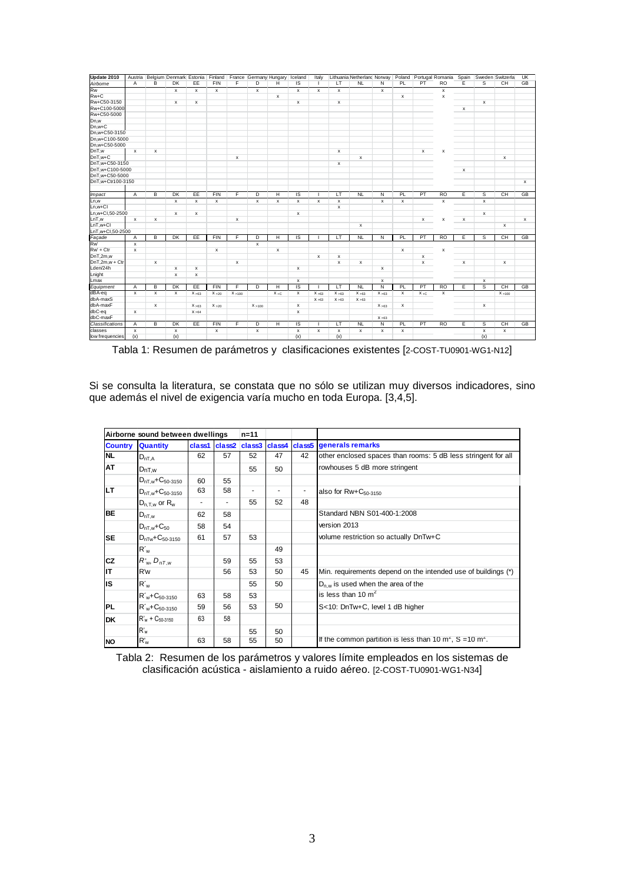| Update 2010                 |                           | Austria Belgium Denmark Estonia Finland France Germany Hungary Iceland |                           |              |                           |              |                           |                           |                    | Italy          |                           |              |              |                    |              | Lithuania Netherland Norway Poland Portugal Romania Spain |   |                           | Sweden Switzerla | UK           |
|-----------------------------|---------------------------|------------------------------------------------------------------------|---------------------------|--------------|---------------------------|--------------|---------------------------|---------------------------|--------------------|----------------|---------------------------|--------------|--------------|--------------------|--------------|-----------------------------------------------------------|---|---------------------------|------------------|--------------|
| Airborne                    | A                         | B                                                                      | <b>DK</b>                 | EE           | <b>FIN</b>                | F            | D                         | Н                         | IS                 | $\overline{1}$ | LT                        | <b>NL</b>    | N            | PL                 | PT           | <b>RO</b>                                                 | E | s                         | CH               | GB           |
| <b>Rw</b>                   |                           |                                                                        | $\boldsymbol{\mathsf{x}}$ | $\mathsf{x}$ | $\boldsymbol{\mathsf{x}}$ |              | $\boldsymbol{\mathsf{x}}$ |                           | $\mathsf{x}$       | x              | $\boldsymbol{\mathsf{x}}$ |              | $\mathsf{x}$ |                    |              | $\mathsf{x}$                                              |   |                           |                  |              |
| Rw+C                        |                           |                                                                        |                           |              |                           |              |                           | $\pmb{\times}$            |                    |                |                           |              |              | x                  |              | $\pmb{\times}$                                            |   |                           |                  |              |
| Rw+C50-3150                 |                           |                                                                        | x                         | x            |                           |              |                           |                           | $\pmb{\mathsf{x}}$ |                | $\pmb{\times}$            |              |              |                    |              |                                                           |   | $\pmb{\times}$            |                  |              |
| Rw+C100-5000                |                           |                                                                        |                           |              |                           |              |                           |                           |                    |                |                           |              |              |                    |              |                                                           | x |                           |                  |              |
| Rw+C50-5000                 |                           |                                                                        |                           |              |                           |              |                           |                           |                    |                |                           |              |              |                    |              |                                                           |   |                           |                  |              |
| Dn,w                        |                           |                                                                        |                           |              |                           |              |                           |                           |                    |                |                           |              |              |                    |              |                                                           |   |                           |                  |              |
| Dn,w+C                      |                           |                                                                        |                           |              |                           |              |                           |                           |                    |                |                           |              |              |                    |              |                                                           |   |                           |                  |              |
| Dn.w+C50-3150               |                           |                                                                        |                           |              |                           |              |                           |                           |                    |                |                           |              |              |                    |              |                                                           |   |                           |                  |              |
| Dn,w+C100-5000              |                           |                                                                        |                           |              |                           |              |                           |                           |                    |                |                           |              |              |                    |              |                                                           |   |                           |                  |              |
| Dn,w+C50-5000               |                           |                                                                        |                           |              |                           |              |                           |                           |                    |                |                           |              |              |                    |              |                                                           |   |                           |                  |              |
| DnT.w                       | $\boldsymbol{\mathsf{x}}$ | $\mathbf{x}$                                                           |                           |              |                           |              |                           |                           |                    |                | $\mathsf{x}$              |              |              |                    | $\mathsf{x}$ | $\boldsymbol{\mathsf{x}}$                                 |   |                           |                  |              |
| $DnT.w+C$                   |                           |                                                                        |                           |              |                           | $\mathbf{x}$ |                           |                           |                    |                |                           | $\times$     |              |                    |              |                                                           |   |                           | $\mathsf{x}$     |              |
| DnT,w+C50-3150              |                           |                                                                        |                           |              |                           |              |                           |                           |                    |                | $\boldsymbol{\mathsf{x}}$ |              |              |                    |              |                                                           |   |                           |                  |              |
| DnT.w+C100-5000             |                           |                                                                        |                           |              |                           |              |                           |                           |                    |                |                           |              |              |                    |              |                                                           | x |                           |                  |              |
| DnT,w+C50-5000              |                           |                                                                        |                           |              |                           |              |                           |                           |                    |                |                           |              |              |                    |              |                                                           |   |                           |                  |              |
| DnT,w+Ctr100-3150           |                           |                                                                        |                           |              |                           |              |                           |                           |                    |                |                           |              |              |                    |              |                                                           |   |                           |                  | $\mathsf{x}$ |
| <i><u><b>Impact</b></u></i> | $\overline{A}$            | В                                                                      | DK                        | EE           | <b>FIN</b>                | F            | D                         | Η                         | ΙS                 |                | τT                        | NL           | N            | PL                 | PT           | R <sub>O</sub>                                            | Έ | s                         | CH               | GB           |
| Ln,w                        |                           |                                                                        | $\pmb{\times}$            | x            | $\mathsf{x}$              |              | $\pmb{\mathsf{x}}$        | $\pmb{\times}$            | $\pmb{\mathsf{x}}$ | x              | $\pmb{\times}$            |              | $\mathsf{x}$ | $\pmb{\mathsf{x}}$ |              | $\mathsf{x}$                                              |   | $\mathsf{x}$              |                  |              |
| $Ln.w + CI$                 |                           |                                                                        |                           |              |                           |              |                           |                           |                    |                | $\boldsymbol{\mathsf{x}}$ |              |              |                    |              |                                                           |   |                           |                  |              |
| Ln.w+Cl.50-2500             |                           |                                                                        | $\mathsf{x}$              | $\times$     |                           |              |                           |                           | $\mathsf{x}$       |                |                           |              |              |                    |              |                                                           |   | $\mathsf{x}$              |                  |              |
| LnT,w                       | $\mathsf{x}$              | $\mathbf{x}$                                                           |                           |              |                           | $\mathbf{x}$ |                           |                           |                    |                |                           |              |              |                    | x            | $\mathsf{x}$                                              | x |                           |                  | $\mathsf{x}$ |
| $LnT.w+Cl$                  |                           |                                                                        |                           |              |                           |              |                           |                           |                    |                |                           | x            |              |                    |              |                                                           |   |                           | x                |              |
| LnT,w+Cl,50-2500            |                           |                                                                        |                           |              |                           |              |                           |                           |                    |                |                           |              |              |                    |              |                                                           |   |                           |                  |              |
| Façade                      | $\overline{A}$            | B                                                                      | DK                        | EE           | <b>FIN</b>                | F            | D                         | н                         | IS                 |                | LT                        | <b>NL</b>    | N            | PL                 | PT           | <b>RO</b>                                                 | E | s                         | CH               | GB           |
| Rw <sup>'</sup>             | $\boldsymbol{\mathsf{x}}$ |                                                                        |                           |              |                           |              | x                         |                           |                    |                |                           |              |              |                    |              |                                                           |   |                           |                  |              |
| $RW + Ct$                   | x                         |                                                                        |                           |              | х                         |              |                           | $\boldsymbol{\mathsf{x}}$ |                    |                |                           |              |              | x                  |              | x                                                         |   |                           |                  |              |
| DnT,2m,w                    |                           |                                                                        |                           |              |                           |              |                           |                           |                    | x              | $\pmb{\times}$            |              |              |                    | х            |                                                           |   |                           |                  |              |
| DnT.2m.w + Ctr              |                           | $\mathbf{x}$                                                           |                           |              |                           | $\mathbf{x}$ |                           |                           |                    |                | $\mathsf{x}$              | $\times$     |              |                    | $\mathsf{x}$ |                                                           | x |                           | $\mathsf{x}$     |              |
| Lden/24h                    |                           |                                                                        | x                         | x            |                           |              |                           |                           | $\pmb{\times}$     |                |                           |              | x            |                    |              |                                                           |   |                           |                  |              |
| Lnight                      |                           |                                                                        | $\mathsf{x}$              | $\mathsf{x}$ |                           |              |                           |                           |                    |                |                           |              |              |                    |              |                                                           |   |                           |                  |              |
| Lmax                        |                           |                                                                        |                           |              |                           |              |                           |                           | $\pmb{\times}$     |                |                           |              | x            |                    |              |                                                           |   | $\mathsf x$               |                  |              |
| Equipment                   | A                         | в                                                                      | DK                        | EE           | <b>FIN</b>                | F            | D                         | Ή                         | IS                 |                | LT.                       | NL           | Ñ            | PL                 | PT           | R <sub>O</sub>                                            | Е | s                         | CH               | GB           |
| dBA-eq                      | $\boldsymbol{\mathsf{x}}$ | $\mathbf{x}$                                                           | $\mathsf{x}$              | X > 63       | X > 20                    | X > 100      |                           | $X + C$                   | x                  | X > 63         | X > 63                    | X > 63       | X > 63       | $\times$           | $X + C$      | $\mathsf{x}$                                              |   |                           | X > 100          |              |
| dbA-maxS                    |                           |                                                                        |                           |              |                           |              |                           |                           |                    | X > 63         | X > 63                    | X > 63       |              |                    |              |                                                           |   |                           |                  |              |
| dbA-maxF                    |                           | $\mathbf{x}$                                                           |                           | X > 63       | X > 20                    |              | X > 100                   |                           | x                  |                |                           |              | X > 63       | x                  |              |                                                           |   | $\boldsymbol{\mathsf{x}}$ |                  |              |
| dbC-eq                      | x                         |                                                                        |                           | X > 64       |                           |              |                           |                           | $\pmb{\times}$     |                |                           |              |              |                    |              |                                                           |   |                           |                  |              |
| dbC-maxF                    |                           |                                                                        |                           |              |                           |              |                           |                           |                    |                |                           |              | X > 63       |                    |              |                                                           |   |                           |                  |              |
| Classifications             | A                         | В                                                                      | DK                        | EE           | <b>FIN</b>                | F            | D                         | Η                         | IS                 |                | LT                        | <b>NL</b>    | Ν            | PL                 | PT           | R <sub>O</sub>                                            | Έ | s                         | CH               | GB           |
| classes                     | $\boldsymbol{\mathsf{x}}$ |                                                                        | $\boldsymbol{\mathsf{x}}$ |              | x                         |              | x                         |                           | $\pmb{\times}$     | x              | $\boldsymbol{\mathsf{x}}$ | $\mathsf{x}$ | x            | x                  |              |                                                           |   | $\mathbf{x}$              | x                |              |
| low frequencies             | (x)                       |                                                                        | (x)                       |              |                           |              |                           |                           | (x)                |                | (x)                       |              |              |                    |              |                                                           |   | (x)                       |                  |              |

Tabla 1: Resumen de parámetros y clasificaciones existentes [2-COST-TU0901-WG1-N12]

Si se consulta la literatura, se constata que no sólo se utilizan muy diversos indicadores, sino que además el nivel de exigencia varía mucho en toda Europa. [3,4,5].

| Airborne sound between dwellings |                                  | $n = 11$ |    |    |    |                          |                                                                                    |
|----------------------------------|----------------------------------|----------|----|----|----|--------------------------|------------------------------------------------------------------------------------|
| <b>Country</b>                   | <b>Quantity</b>                  |          |    |    |    |                          | class1 class2 class3 class4 class5 generals remarks                                |
| <b>NL</b>                        | $D_{nT,A}$                       | 62       | 57 | 52 | 47 | 42                       | other enclosed spaces than rooms: 5 dB less stringent for all                      |
| AT                               | DnT,w                            |          |    | 55 | 50 |                          | rowhouses 5 dB more stringent                                                      |
|                                  | $D_{nT,w}$ +C <sub>50-3150</sub> | 60       | 55 |    |    |                          |                                                                                    |
| <b>LT</b>                        | $D_{nT,w}$ + $C_{50-3150}$       | 63       | 58 |    | ۰  | $\overline{\phantom{a}}$ | also for $Rw+C_{50-3150}$                                                          |
|                                  | $D_{n.T.w}$ or $R_w$             |          | ۰  | 55 | 52 | 48                       |                                                                                    |
| <b>BE</b>                        | $D_{nT,w}$                       | 62       | 58 |    |    |                          | Standard NBN S01-400-1:2008                                                        |
|                                  | $D_{nT,w}$ + $C_{50}$            | 58       | 54 |    |    |                          | version 2013                                                                       |
| <b>SE</b>                        | $D_{nTw}$ + $C_{50-3150}$        | 61       | 57 | 53 |    |                          | volume restriction so actually DnTw+C                                              |
|                                  | $R'_w$                           |          |    |    | 49 |                          |                                                                                    |
| <b>CZ</b>                        | $R_{w}$ , $D_{nT,w}$             |          | 59 | 55 | 53 |                          |                                                                                    |
| lιT                              | R'w                              |          | 56 | 53 | 50 | 45                       | Min. requirements depend on the intended use of buildings (*)                      |
| lis                              | $R_w$                            |          |    | 55 | 50 |                          | $D_{n,w}$ is used when the area of the                                             |
|                                  | $R'_w + C_{50-3150}$             | 63       | 58 | 53 |    |                          | is less than 10 $m2$                                                               |
| PL                               | $R'_{w}$ +C <sub>50-3150</sub>   | 59       | 56 | 53 | 50 |                          | S<10: DnTw+C, level 1 dB higher                                                    |
| <b>DK</b>                        | $R'_w$ + $C_{50-3150}$           | 63       | 58 |    |    |                          |                                                                                    |
|                                  | R'w                              |          |    | 55 | 50 |                          |                                                                                    |
| <b>NO</b>                        | $R_w$                            | 63       | 58 | 55 | 50 |                          | If the common partition is less than 10 m <sup>2</sup> , $S = 10$ m <sup>2</sup> . |

Tabla 2: Resumen de los parámetros y valores límite empleados en los sistemas de clasificación acústica - aislamiento a ruido aéreo. [2-COST-TU0901-WG1-N34]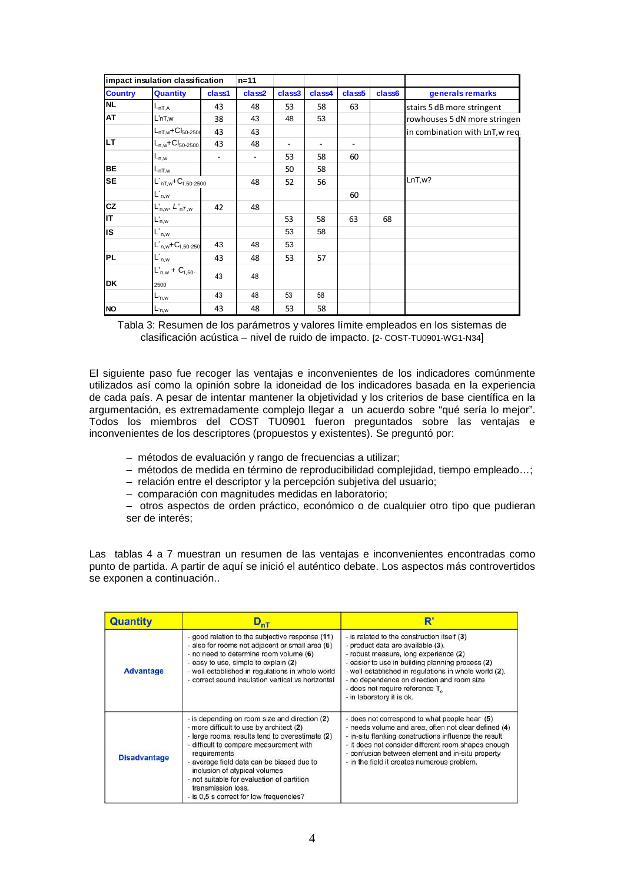|                | impact insulation classification | $n = 11$ |        |        |        |                    |        |                                 |
|----------------|----------------------------------|----------|--------|--------|--------|--------------------|--------|---------------------------------|
| <b>Country</b> | <b>Quantity</b>                  | class1   | class2 | class3 | class4 | class <sub>5</sub> | class6 | generals remarks                |
| <b>NL</b>      | $L_{nTA}$                        | 43       | 48     | 53     | 58     | 63                 |        | stairs 5 dB more stringent      |
| AT             | L'nT,w                           | 38       | 43     | 48     | 53     |                    |        | rowhouses 5 dN more stringen    |
|                | $L_{nT,w}$ +C $I_{50-2500}$      | 43       | 43     |        |        |                    |        | in combination with LnT, w req. |
| <b>LT</b>      | $L_{n,w}$ +C $I_{50-2500}$       | 43       | 48     | ۰      |        |                    |        |                                 |
|                | $L_{n,w}$                        |          |        | 53     | 58     | 60                 |        |                                 |
| <b>BE</b>      | $L_{nT,w}$                       |          |        | 50     | 58     |                    |        |                                 |
| <b>SE</b>      | $L'_{nT,w}$ + $C_{1,50-2500}$    |          | 48     | 52     | 56     |                    |        | LnT, w?                         |
|                | $L'_{n,w}$                       |          |        |        |        | 60                 |        |                                 |
| CZ             | $L'_{n,w}, L'_{nT,w}$            | 42       | 48     |        |        |                    |        |                                 |
| IΤ             | $L'_{n,w}$                       |          |        | 53     | 58     | 63                 | 68     |                                 |
| IS             | $L'_{n,w}$                       |          |        | 53     | 58     |                    |        |                                 |
|                | $L'_{n,w}$ + $C_{1,50-250}$      | 43       | 48     | 53     |        |                    |        |                                 |
| <b>PL</b>      | $L'_{n,w}$                       | 43       | 48     | 53     | 57     |                    |        |                                 |
|                | $L'_{n,w}$ + $C_{1,50}$          | 43       | 48     |        |        |                    |        |                                 |
| DK             | 2500                             |          |        |        |        |                    |        |                                 |
|                | $L_{n,w}$                        | 43       | 48     | 53     | 58     |                    |        |                                 |
| <b>NO</b>      | ıL <sub>'n,w</sub>               | 43       | 48     | 53     | 58     |                    |        |                                 |

Tabla 3: Resumen de los parámetros y valores límite empleados en los sistemas de clasificación acústica – nivel de ruido de impacto. [2- COST-TU0901-WG1-N34]

El siguiente paso fue recoger las ventajas e inconvenientes de los indicadores comúnmente utilizados así como la opinión sobre la idoneidad de los indicadores basada en la experiencia de cada país. A pesar de intentar mantener la objetividad y los criterios de base científica en la argumentación, es extremadamente complejo llegar a un acuerdo sobre "qué sería lo mejor". Todos los miembros del COST TU0901 fueron preguntados sobre las ventajas e inconvenientes de los descriptores (propuestos y existentes). Se preguntó por:

- métodos de evaluación y rango de frecuencias a utilizar;
- métodos de medida en término de reproducibilidad complejidad, tiempo empleado…;
- relación entre el descriptor y la percepción subjetiva del usuario;
- comparación con magnitudes medidas en laboratorio;
- otros aspectos de orden práctico, económico o de cualquier otro tipo que pudieran ser de interés;

Las tablas 4 a 7 muestran un resumen de las ventajas e inconvenientes encontradas como punto de partida. A partir de aquí se inició el auténtico debate. Los aspectos más controvertidos se exponen a continuación..

| <b>Quantity</b>     | $\mathsf{D}_{\mathsf{nT}}$                                                                                                                                                                                                                                                                                                                                                                           | R                                                                                                                                                                                                                                                                                                                                                   |
|---------------------|------------------------------------------------------------------------------------------------------------------------------------------------------------------------------------------------------------------------------------------------------------------------------------------------------------------------------------------------------------------------------------------------------|-----------------------------------------------------------------------------------------------------------------------------------------------------------------------------------------------------------------------------------------------------------------------------------------------------------------------------------------------------|
| <b>Advantage</b>    | - good relation to the subjective response (11)<br>- also for rooms not adjacent or small area (6)<br>- no need to determine room volume (6)<br>- easy to use, simple to explain (2)<br>- well-established in regulations in whole world<br>- correct sound insulation vertical vs horizontal                                                                                                        | - is related to the construction itself (3)<br>- product data are available (3).<br>- robust measure, long experience (2)<br>- easier to use in building planning process (2)<br>- well-established in regulations in whole world (2).<br>- no dependence on direction and room size<br>- does not require reference T<br>- in laboratory it is ok. |
| <b>Disadvantage</b> | - is depending on room size and direction (2)<br>- more difficult to use by architect (2)<br>- large rooms, results tend to overestimate (2)<br>- difficult to compare measurement with<br>requirements<br>- average field data can be biased due to<br>inclusion of atypical volumes<br>- not suitable for evaluation of partition<br>transmission loss.<br>- is 0,5 s correct for low frequencies? | - does not correspond to what people hear (5)<br>- needs volume and area, often not clear defined (4)<br>- in-situ flanking constructions influence the result<br>- it does not consider different room shapes enough<br>- confusion between element and in-situ property<br>- in the field it creates numerous problem.                            |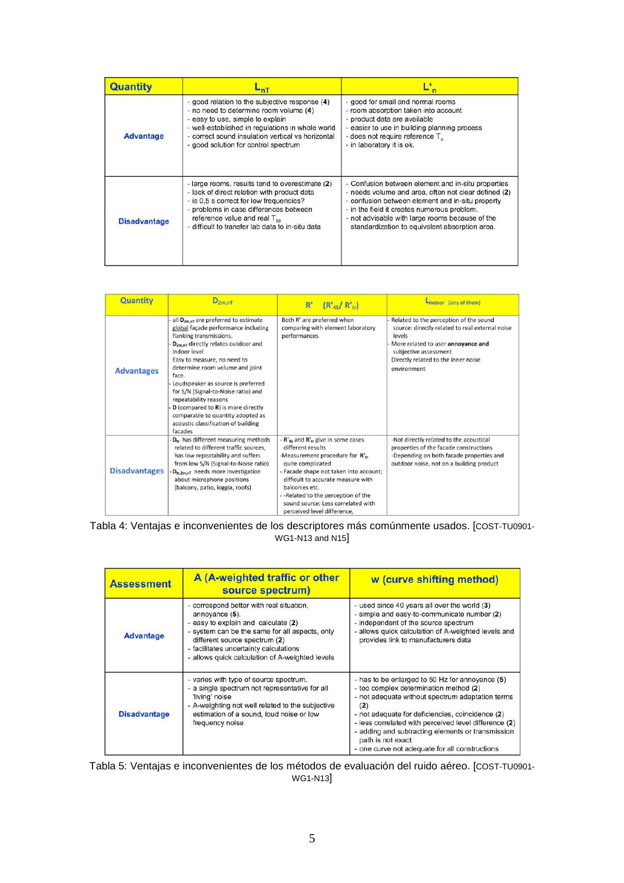| <b>Quantity</b>     | -n1                                                                                                                                                                                                                                                                               |                                                                                                                                                                                                                                                                                                                    |
|---------------------|-----------------------------------------------------------------------------------------------------------------------------------------------------------------------------------------------------------------------------------------------------------------------------------|--------------------------------------------------------------------------------------------------------------------------------------------------------------------------------------------------------------------------------------------------------------------------------------------------------------------|
| <b>Advantage</b>    | - good relation to the subjective response (4)<br>- no need to determine room volume (4)<br>- easy to use, simple to explain<br>- well-established in regulations in whole world<br>- correct sound insulation vertical vs horizontal<br>- good solution for control spectrum     | - good for small and normal rooms<br>- room absorption taken into account<br>- product data are available<br>- easier to use in building planning process<br>- does not require reference T<br>- in laboratory it is ok.                                                                                           |
| <b>Disadvantage</b> | - large rooms, results tend to overestimate (2)<br>- lack of direct relation with product data<br>- is 0.5 s correct for low frequencies?<br>- problems in case differences between<br>reference value and real $T_{\rm{en}}$<br>- difficult to transfer lab data to in-situ data | - Confusion between element and in-situ properties<br>- needs volume and area, often not clear defined (2)<br>- confusion between element and in-situ property<br>- in the field it creates numerous problem.<br>- not advisable with large rooms because of the<br>standardization to equivalent absorption area. |

| <b>Quantity</b>      | $D_{2m,nT}$                                                                                                                                                                                                                                                                                                                                                                                                                                                                                  | $(R'_{45}/R'_{\rm tr})$<br>$R^r$                                                                                                                                                                                                                                                                                                        | Lindoor (any of them)                                                                                                                                                                                                    |
|----------------------|----------------------------------------------------------------------------------------------------------------------------------------------------------------------------------------------------------------------------------------------------------------------------------------------------------------------------------------------------------------------------------------------------------------------------------------------------------------------------------------------|-----------------------------------------------------------------------------------------------------------------------------------------------------------------------------------------------------------------------------------------------------------------------------------------------------------------------------------------|--------------------------------------------------------------------------------------------------------------------------------------------------------------------------------------------------------------------------|
| <b>Advantages</b>    | all D <sub>2m,nT</sub> are preferred to estimate<br>global façade performance including<br>flanking transmissions.<br>$D_{2m,nT}$ directly relates outdoor and<br>indoor level<br>Easy to measure, no need to<br>determine room volume and joint<br>face.<br>Loudspeaker as source is preferred<br>for S/N (Signal-to-Noise ratio) and<br>repeatability reasons<br>D (compared to R) is more directly<br>comparable to quantity adopted as<br>acoustic classification of building<br>facades | Both R' are preferred when<br>comparing with element laboratory<br>performances                                                                                                                                                                                                                                                         | Related to the perception of the sound<br>source: directly related to real external noise<br>levels<br>More related to user annoyance and<br>subjective assessment<br>Directly related to the inner noise<br>environment |
| <b>Disadvantages</b> | -D <sub>tr</sub> has different measuring methods<br>related to different traffic sources.<br>has low repeatability and suffers<br>from low S/N (Signal-to-Noise ratio)<br>D <sub>tr,2m,nT</sub> needs more investigation<br>about microphone positions<br>(balcony, patio, loggia, roofs)                                                                                                                                                                                                    | - $R'_{45}$ and $R'_{tr}$ give in some cases<br>different results<br>-Measurement procedure for R'tr<br>quite complicated<br>- Facade shape not taken into account;<br>difficult to accurate measure with<br>balconies etc.<br>-- Related to the perception of the<br>sound source: Less correlated with<br>perceived level difference. | -Not directly related to the acoustical<br>properties of the facade constructions<br>-Depending on both facade properties and<br>outdoor noise, not on a building product                                                |

Tabla 4: Ventajas e inconvenientes de los descriptores más comúnmente usados. [COST-TU0901- WG1-N13 and N15]

| <b>Assessment</b>   | A (A-weighted traffic or other<br>source spectrum)                                                                                                                                                                                                                                | w (curve shifting method)                                                                                                                                                                                                                                                                                                                                                                     |
|---------------------|-----------------------------------------------------------------------------------------------------------------------------------------------------------------------------------------------------------------------------------------------------------------------------------|-----------------------------------------------------------------------------------------------------------------------------------------------------------------------------------------------------------------------------------------------------------------------------------------------------------------------------------------------------------------------------------------------|
| <b>Advantage</b>    | - correspond better with real situation,<br>annoyance (5).<br>- easy to explain and calculate (2)<br>- system can be the same for all aspects, only<br>different source spectrum (2)<br>- facilitates uncertainty calculations<br>- allows quick calculation of A-weighted levels | - used since 40 years all over the world (3)<br>- simple and easy-to-communicate number (2)<br>- independent of the source spectrum<br>- allows quick calculation of A-weighted levels and<br>provides link to manufacturers data                                                                                                                                                             |
| <b>Disadvantage</b> | - varies with type of source spectrum.<br>- a single spectrum not representative for all<br>'living' noise<br>- A-weighting not well related to the subjective<br>estimation of a sound, loud noise or low<br>frequency noise                                                     | - has to be enlarged to 50 Hz for annoyance (5)<br>- too complex determination method (2)<br>- not adequate without spectrum adaptation terms<br>(2)<br>- not adequate for deficiencies, coincidence (2)<br>- less correlated with perceived level difference (2)<br>- adding and subtracting elements or transmission<br>path is not exact<br>- one curve not adequate for all constructions |

Tabla 5: Ventajas e inconvenientes de los métodos de evaluación del ruido aéreo. [COST-TU0901- WG1-N13]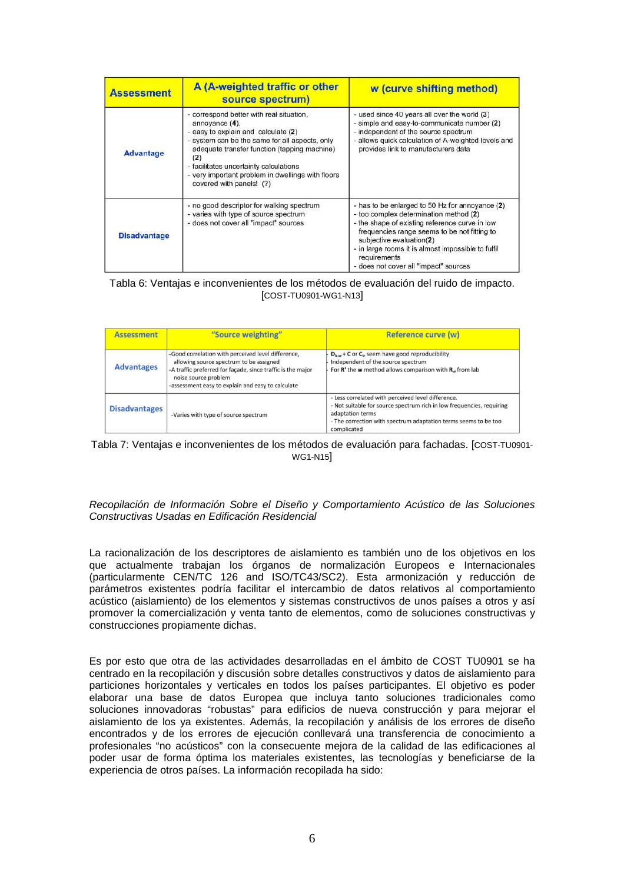| <b>Assessment</b>   | A (A-weighted traffic or other<br>source spectrum)                                                                                                                                                                                                                                                                                    | w (curve shifting method)                                                                                                                                                                                                                                                                                                              |
|---------------------|---------------------------------------------------------------------------------------------------------------------------------------------------------------------------------------------------------------------------------------------------------------------------------------------------------------------------------------|----------------------------------------------------------------------------------------------------------------------------------------------------------------------------------------------------------------------------------------------------------------------------------------------------------------------------------------|
| <b>Advantage</b>    | - correspond better with real situation,<br>annovance (4).<br>- easy to explain and calculate (2)<br>- system can be the same for all aspects, only<br>adequate transfer function (tapping machine)<br>(2)<br>- facilitates uncertainty calculations<br>- very important problem in dwellings with floors<br>covered with panels! (?) | - used since 40 years all over the world (3)<br>- simple and easy-to-communicate number (2)<br>- independent of the source spectrum<br>- allows quick calculation of A-weighted levels and<br>provides link to manufacturers data                                                                                                      |
| <b>Disadvantage</b> | - no good descriptor for walking spectrum<br>- varies with type of source spectrum<br>- does not cover all "impact" sources                                                                                                                                                                                                           | - has to be enlarged to 50 Hz for annoyance (2)<br>- too complex determination method (2)<br>- the shape of existing reference curve in low<br>frequencies range seems to be not fitting to<br>subjective evaluation(2)<br>- in large rooms it is almost impossible to fulfil<br>requirements<br>- does not cover all "impact" sources |

# Tabla 6: Ventajas e inconvenientes de los métodos de evaluación del ruido de impacto. [COST-TU0901-WG1-N13]

| <b>Assessment</b>    | "Source weighting"                                                                                                                                                                                                                        | <b>Reference curve (w)</b>                                                                                                                                                                                                        |
|----------------------|-------------------------------------------------------------------------------------------------------------------------------------------------------------------------------------------------------------------------------------------|-----------------------------------------------------------------------------------------------------------------------------------------------------------------------------------------------------------------------------------|
| <b>Advantages</b>    | -Good correlation with perceived level difference,<br>allowing source spectrum to be assigned<br>-A traffic preferred for façade, since traffic is the major<br>noise source problem<br>-assessment easy to explain and easy to calculate | $D_{1s,w}$ + C or $C_{tr}$ seem have good reproducibility<br>Independent of the source spectrum<br>For $R'$ the w method allows comparison with $R_w$ from lab                                                                    |
| <b>Disadvantages</b> | -Varies with type of source spectrum                                                                                                                                                                                                      | - Less correlated with perceived level difference.<br>- Not suitable for source spectrum rich in low frequencies, requiring<br>adaptation terms<br>- The correction with spectrum adaptation terms seems to be too<br>complicated |



# Recopilación de Información Sobre el Diseño y Comportamiento Acústico de las Soluciones Constructivas Usadas en Edificación Residencial

La racionalización de los descriptores de aislamiento es también uno de los objetivos en los que actualmente trabajan los órganos de normalización Europeos e Internacionales (particularmente CEN/TC 126 and ISO/TC43/SC2). Esta armonización y reducción de parámetros existentes podría facilitar el intercambio de datos relativos al comportamiento acústico (aislamiento) de los elementos y sistemas constructivos de unos países a otros y así promover la comercialización y venta tanto de elementos, como de soluciones constructivas y construcciones propiamente dichas.

Es por esto que otra de las actividades desarrolladas en el ámbito de COST TU0901 se ha centrado en la recopilación y discusión sobre detalles constructivos y datos de aislamiento para particiones horizontales y verticales en todos los países participantes. El objetivo es poder elaborar una base de datos Europea que incluya tanto soluciones tradicionales como soluciones innovadoras "robustas" para edificios de nueva construcción y para mejorar el aislamiento de los ya existentes. Además, la recopilación y análisis de los errores de diseño encontrados y de los errores de ejecución conllevará una transferencia de conocimiento a profesionales "no acústicos" con la consecuente mejora de la calidad de las edificaciones al poder usar de forma óptima los materiales existentes, las tecnologías y beneficiarse de la experiencia de otros países. La información recopilada ha sido: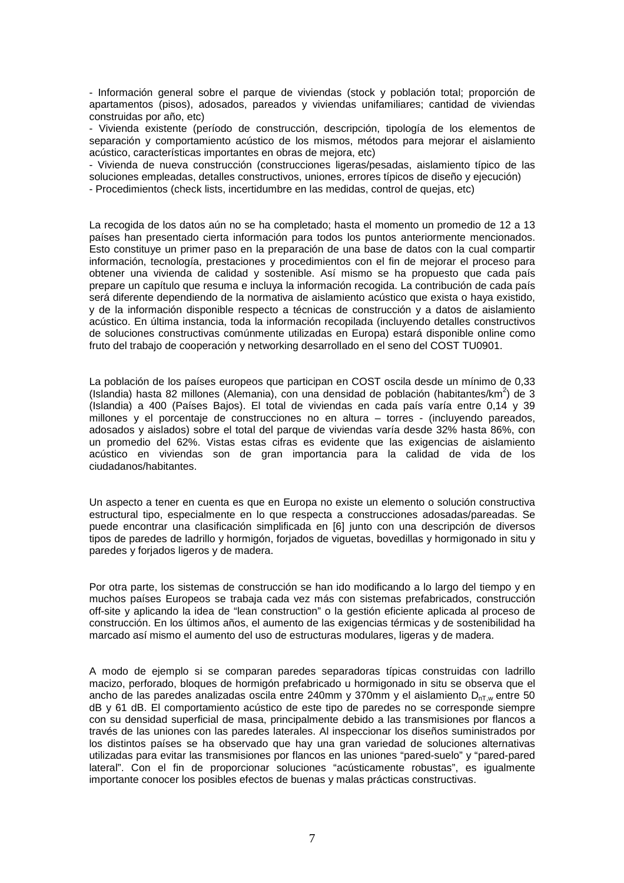- Información general sobre el parque de viviendas (stock y población total; proporción de apartamentos (pisos), adosados, pareados y viviendas unifamiliares; cantidad de viviendas construidas por año, etc)

- Vivienda existente (período de construcción, descripción, tipología de los elementos de separación y comportamiento acústico de los mismos, métodos para mejorar el aislamiento acústico, características importantes en obras de mejora, etc)

- Vivienda de nueva construcción (construcciones ligeras/pesadas, aislamiento típico de las soluciones empleadas, detalles constructivos, uniones, errores típicos de diseño y ejecución)

- Procedimientos (check lists, incertidumbre en las medidas, control de quejas, etc)

La recogida de los datos aún no se ha completado; hasta el momento un promedio de 12 a 13 países han presentado cierta información para todos los puntos anteriormente mencionados. Esto constituye un primer paso en la preparación de una base de datos con la cual compartir información, tecnología, prestaciones y procedimientos con el fin de mejorar el proceso para obtener una vivienda de calidad y sostenible. Así mismo se ha propuesto que cada país prepare un capítulo que resuma e incluya la información recogida. La contribución de cada país será diferente dependiendo de la normativa de aislamiento acústico que exista o haya existido, y de la información disponible respecto a técnicas de construcción y a datos de aislamiento acústico. En última instancia, toda la información recopilada (incluyendo detalles constructivos de soluciones constructivas comúnmente utilizadas en Europa) estará disponible online como fruto del trabajo de cooperación y networking desarrollado en el seno del COST TU0901.

La población de los países europeos que participan en COST oscila desde un mínimo de 0,33 (Islandia) hasta 82 millones (Alemania), con una densidad de población (habitantes/km<sup>2</sup>) de 3 (Islandia) a 400 (Países Bajos). El total de viviendas en cada país varía entre 0,14 y 39 millones y el porcentaje de construcciones no en altura – torres - (incluyendo pareados, adosados y aislados) sobre el total del parque de viviendas varía desde 32% hasta 86%, con un promedio del 62%. Vistas estas cifras es evidente que las exigencias de aislamiento acústico en viviendas son de gran importancia para la calidad de vida de los ciudadanos/habitantes.

Un aspecto a tener en cuenta es que en Europa no existe un elemento o solución constructiva estructural tipo, especialmente en lo que respecta a construcciones adosadas/pareadas. Se puede encontrar una clasificación simplificada en [6] junto con una descripción de diversos tipos de paredes de ladrillo y hormigón, forjados de viguetas, bovedillas y hormigonado in situ y paredes y forjados ligeros y de madera.

Por otra parte, los sistemas de construcción se han ido modificando a lo largo del tiempo y en muchos países Europeos se trabaja cada vez más con sistemas prefabricados, construcción off-site y aplicando la idea de "lean construction" o la gestión eficiente aplicada al proceso de construcción. En los últimos años, el aumento de las exigencias térmicas y de sostenibilidad ha marcado así mismo el aumento del uso de estructuras modulares, ligeras y de madera.

A modo de ejemplo si se comparan paredes separadoras típicas construidas con ladrillo macizo, perforado, bloques de hormigón prefabricado u hormigonado in situ se observa que el ancho de las paredes analizadas oscila entre 240mm y 370mm y el aislamiento  $D_{nTw}$  entre 50 dB y 61 dB. El comportamiento acústico de este tipo de paredes no se corresponde siempre con su densidad superficial de masa, principalmente debido a las transmisiones por flancos a través de las uniones con las paredes laterales. Al inspeccionar los diseños suministrados por los distintos países se ha observado que hay una gran variedad de soluciones alternativas utilizadas para evitar las transmisiones por flancos en las uniones "pared-suelo" y "pared-pared lateral". Con el fin de proporcionar soluciones "acústicamente robustas", es igualmente importante conocer los posibles efectos de buenas y malas prácticas constructivas.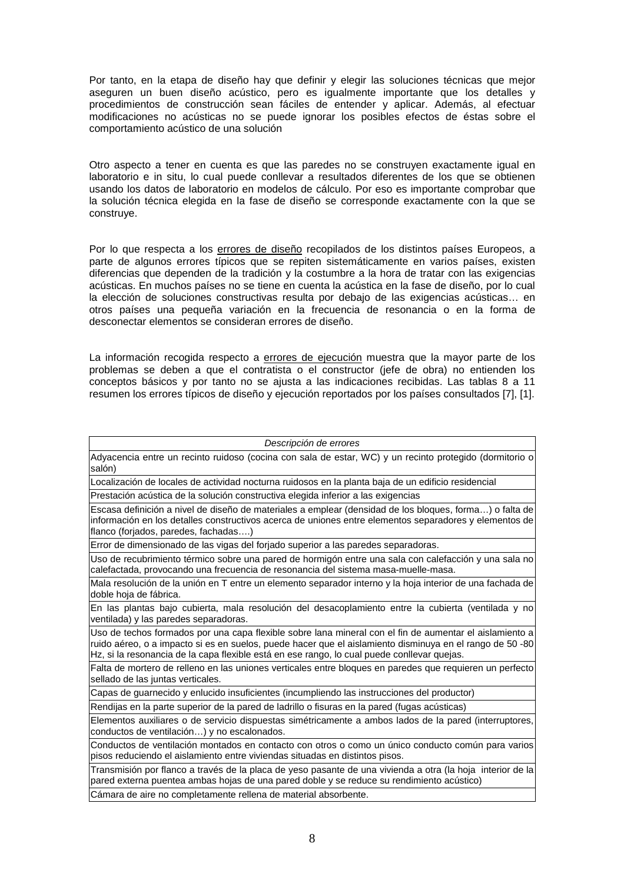Por tanto, en la etapa de diseño hay que definir y elegir las soluciones técnicas que mejor aseguren un buen diseño acústico, pero es igualmente importante que los detalles y procedimientos de construcción sean fáciles de entender y aplicar. Además, al efectuar modificaciones no acústicas no se puede ignorar los posibles efectos de éstas sobre el comportamiento acústico de una solución

Otro aspecto a tener en cuenta es que las paredes no se construyen exactamente igual en laboratorio e in situ, lo cual puede conllevar a resultados diferentes de los que se obtienen usando los datos de laboratorio en modelos de cálculo. Por eso es importante comprobar que la solución técnica elegida en la fase de diseño se corresponde exactamente con la que se construye.

Por lo que respecta a los errores de diseño recopilados de los distintos países Europeos, a parte de algunos errores típicos que se repiten sistemáticamente en varios países, existen diferencias que dependen de la tradición y la costumbre a la hora de tratar con las exigencias acústicas. En muchos países no se tiene en cuenta la acústica en la fase de diseño, por lo cual la elección de soluciones constructivas resulta por debajo de las exigencias acústicas… en otros países una pequeña variación en la frecuencia de resonancia o en la forma de desconectar elementos se consideran errores de diseño.

La información recogida respecto a errores de ejecución muestra que la mayor parte de los problemas se deben a que el contratista o el constructor (jefe de obra) no entienden los conceptos básicos y por tanto no se ajusta a las indicaciones recibidas. Las tablas 8 a 11 resumen los errores típicos de diseño y ejecución reportados por los países consultados [7], [1].

Descripción de errores Adyacencia entre un recinto ruidoso (cocina con sala de estar, WC) y un recinto protegido (dormitorio o salón) Localización de locales de actividad nocturna ruidosos en la planta baja de un edificio residencial Prestación acústica de la solución constructiva elegida inferior a las exigencias Escasa definición a nivel de diseño de materiales a emplear (densidad de los bloques, forma…) o falta de información en los detalles constructivos acerca de uniones entre elementos separadores y elementos de flanco (forjados, paredes, fachadas….) Error de dimensionado de las vigas del forjado superior a las paredes separadoras. Uso de recubrimiento térmico sobre una pared de hormigón entre una sala con calefacción y una sala no calefactada, provocando una frecuencia de resonancia del sistema masa-muelle-masa. Mala resolución de la unión en T entre un elemento separador interno y la hoja interior de una fachada de doble hoja de fábrica. En las plantas bajo cubierta, mala resolución del desacoplamiento entre la cubierta (ventilada y no ventilada) y las paredes separadoras. Uso de techos formados por una capa flexible sobre lana mineral con el fin de aumentar el aislamiento a ruido aéreo, o a impacto si es en suelos, puede hacer que el aislamiento disminuya en el rango de 50 -80 Hz, si la resonancia de la capa flexible está en ese rango, lo cual puede conllevar quejas. Falta de mortero de relleno en las uniones verticales entre bloques en paredes que requieren un perfecto sellado de las juntas verticales. Capas de guarnecido y enlucido insuficientes (incumpliendo las instrucciones del productor) Rendijas en la parte superior de la pared de ladrillo o fisuras en la pared (fugas acústicas) Elementos auxiliares o de servicio dispuestas simétricamente a ambos lados de la pared (interruptores, conductos de ventilación…) y no escalonados. Conductos de ventilación montados en contacto con otros o como un único conducto común para varios pisos reduciendo el aislamiento entre viviendas situadas en distintos pisos. Transmisión por flanco a través de la placa de yeso pasante de una vivienda a otra (la hoja interior de la pared externa puentea ambas hojas de una pared doble y se reduce su rendimiento acústico) Cámara de aire no completamente rellena de material absorbente.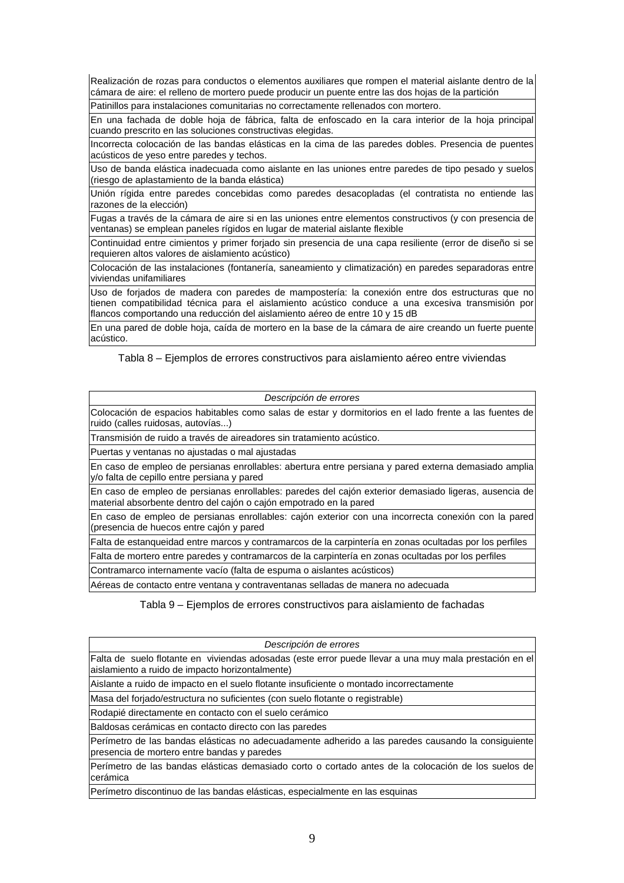Realización de rozas para conductos o elementos auxiliares que rompen el material aislante dentro de la cámara de aire: el relleno de mortero puede producir un puente entre las dos hojas de la partición

Patinillos para instalaciones comunitarias no correctamente rellenados con mortero.

En una fachada de doble hoja de fábrica, falta de enfoscado en la cara interior de la hoja principal cuando prescrito en las soluciones constructivas elegidas.

Incorrecta colocación de las bandas elásticas en la cima de las paredes dobles. Presencia de puentes acústicos de yeso entre paredes y techos.

Uso de banda elástica inadecuada como aislante en las uniones entre paredes de tipo pesado y suelos (riesgo de aplastamiento de la banda elástica)

Unión rígida entre paredes concebidas como paredes desacopladas (el contratista no entiende las razones de la elección)

Fugas a través de la cámara de aire si en las uniones entre elementos constructivos (y con presencia de ventanas) se emplean paneles rígidos en lugar de material aislante flexible

Continuidad entre cimientos y primer forjado sin presencia de una capa resiliente (error de diseño si se requieren altos valores de aislamiento acústico)

Colocación de las instalaciones (fontanería, saneamiento y climatización) en paredes separadoras entre viviendas unifamiliares

Uso de forjados de madera con paredes de mampostería: la conexión entre dos estructuras que no tienen compatibilidad técnica para el aislamiento acústico conduce a una excesiva transmisión por flancos comportando una reducción del aislamiento aéreo de entre 10 y 15 dB

En una pared de doble hoja, caída de mortero en la base de la cámara de aire creando un fuerte puente acústico.

Tabla 8 – Ejemplos de errores constructivos para aislamiento aéreo entre viviendas

| Descripción de errores                                                                                                                                                      |
|-----------------------------------------------------------------------------------------------------------------------------------------------------------------------------|
| Colocación de espacios habitables como salas de estar y dormitorios en el lado frente a las fuentes de<br>ruido (calles ruidosas, autovías)                                 |
| Transmisión de ruido a través de aireadores sin tratamiento acústico.                                                                                                       |
| Puertas y ventanas no ajustadas o mal ajustadas                                                                                                                             |
| En caso de empleo de persianas enrollables: abertura entre persiana y pared externa demasiado amplia<br>y/o falta de cepillo entre persiana y pared                         |
| En caso de empleo de persianas enrollables: paredes del cajón exterior demasiado ligeras, ausencia de<br>material absorbente dentro del cajón o cajón empotrado en la pared |
| En caso de empleo de persianas enrollables: cajón exterior con una incorrecta conexión con la pared<br>(presencia de huecos entre cajón y pared                             |
| Falta de estanqueidad entre marcos y contramarcos de la carpintería en zonas ocultadas por los perfiles                                                                     |
| Falta de mortero entre paredes y contramarcos de la carpintería en zonas ocultadas por los perfiles                                                                         |
| Contramarco internamente vacío (falta de espuma o aislantes acústicos)                                                                                                      |
| Aéreas de contacto entre ventana y contraventanas selladas de manera no adecuada                                                                                            |

Tabla 9 – Ejemplos de errores constructivos para aislamiento de fachadas

| Descripción de errores                                                                                                                                    |
|-----------------------------------------------------------------------------------------------------------------------------------------------------------|
| Falta de suelo flotante en viviendas adosadas (este error puede llevar a una muy mala prestación en el<br>aislamiento a ruido de impacto horizontalmente) |
| Aislante a ruido de impacto en el suelo flotante insuficiente o montado incorrectamente                                                                   |
| Masa del forjado/estructura no suficientes (con suelo flotante o registrable)                                                                             |
| Rodapié directamente en contacto con el suelo cerámico                                                                                                    |
| Baldosas cerámicas en contacto directo con las paredes                                                                                                    |
| Perímetro de las bandas elásticas no adecuadamente adherido a las paredes causando la consiguiente<br>presencia de mortero entre bandas y paredes         |
| Perímetro de las bandas elásticas demasiado corto o cortado antes de la colocación de los suelos de<br>Icerámica                                          |
| Perímetro discontinuo de las bandas elásticas, especialmente en las esquinas                                                                              |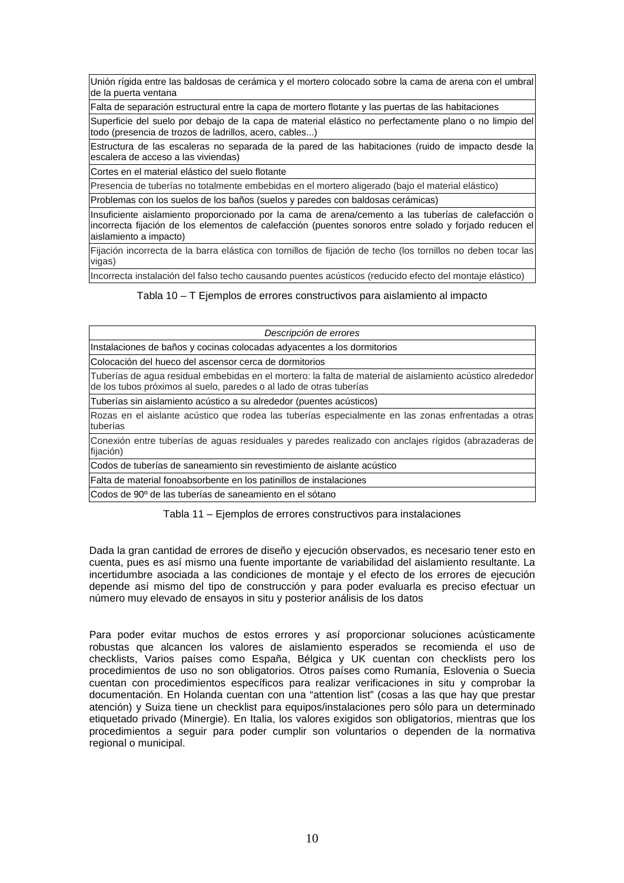Unión rígida entre las baldosas de cerámica y el mortero colocado sobre la cama de arena con el umbral de la puerta ventana

Falta de separación estructural entre la capa de mortero flotante y las puertas de las habitaciones

Superficie del suelo por debajo de la capa de material elástico no perfectamente plano o no limpio del todo (presencia de trozos de ladrillos, acero, cables...)

Estructura de las escaleras no separada de la pared de las habitaciones (ruido de impacto desde la escalera de acceso a las viviendas)

Cortes en el material elástico del suelo flotante

Presencia de tuberías no totalmente embebidas en el mortero aligerado (bajo el material elástico)

Problemas con los suelos de los baños (suelos y paredes con baldosas cerámicas)

Insuficiente aislamiento proporcionado por la cama de arena/cemento a las tuberías de calefacción o incorrecta fijación de los elementos de calefacción (puentes sonoros entre solado y forjado reducen el aislamiento a impacto)

Fijación incorrecta de la barra elástica con tornillos de fijación de techo (los tornillos no deben tocar las vigas)

Incorrecta instalación del falso techo causando puentes acústicos (reducido efecto del montaje elástico)

Tabla 10 – T Ejemplos de errores constructivos para aislamiento al impacto

| Descripción de errores                                                                                                                                                           |
|----------------------------------------------------------------------------------------------------------------------------------------------------------------------------------|
| Instalaciones de baños y cocinas colocadas adyacentes a los dormitorios                                                                                                          |
| Colocación del hueco del ascensor cerca de dormitorios                                                                                                                           |
| Tuberías de agua residual embebidas en el mortero: la falta de material de aislamiento acústico alrededor<br>de los tubos próximos al suelo, paredes o al lado de otras tuberías |
| Tuberías sin aislamiento acústico a su alrededor (puentes acústicos)                                                                                                             |
| Rozas en el aislante acústico que rodea las tuberías especialmente en las zonas enfrentadas a otras<br>tuberías                                                                  |
| Conexión entre tuberías de aguas residuales y paredes realizado con anclajes rígidos (abrazaderas de<br>fijación)                                                                |
| Codos de tuberías de saneamiento sin revestimiento de aislante acústico                                                                                                          |
| Falta de material fonoabsorbente en los patinillos de instalaciones                                                                                                              |

Codos de 90º de las tuberías de saneamiento en el sótano

Tabla 11 – Ejemplos de errores constructivos para instalaciones

Dada la gran cantidad de errores de diseño y ejecución observados, es necesario tener esto en cuenta, pues es así mismo una fuente importante de variabilidad del aislamiento resultante. La incertidumbre asociada a las condiciones de montaje y el efecto de los errores de ejecución depende así mismo del tipo de construcción y para poder evaluarla es preciso efectuar un número muy elevado de ensayos in situ y posterior análisis de los datos

Para poder evitar muchos de estos errores y así proporcionar soluciones acústicamente robustas que alcancen los valores de aislamiento esperados se recomienda el uso de checklists, Varios países como España, Bélgica y UK cuentan con checklists pero los procedimientos de uso no son obligatorios. Otros países como Rumanía, Eslovenia o Suecia cuentan con procedimientos específicos para realizar verificaciones in situ y comprobar la documentación. En Holanda cuentan con una "attention list" (cosas a las que hay que prestar atención) y Suiza tiene un checklist para equipos/instalaciones pero sólo para un determinado etiquetado privado (Minergie). En Italia, los valores exigidos son obligatorios, mientras que los procedimientos a seguir para poder cumplir son voluntarios o dependen de la normativa regional o municipal.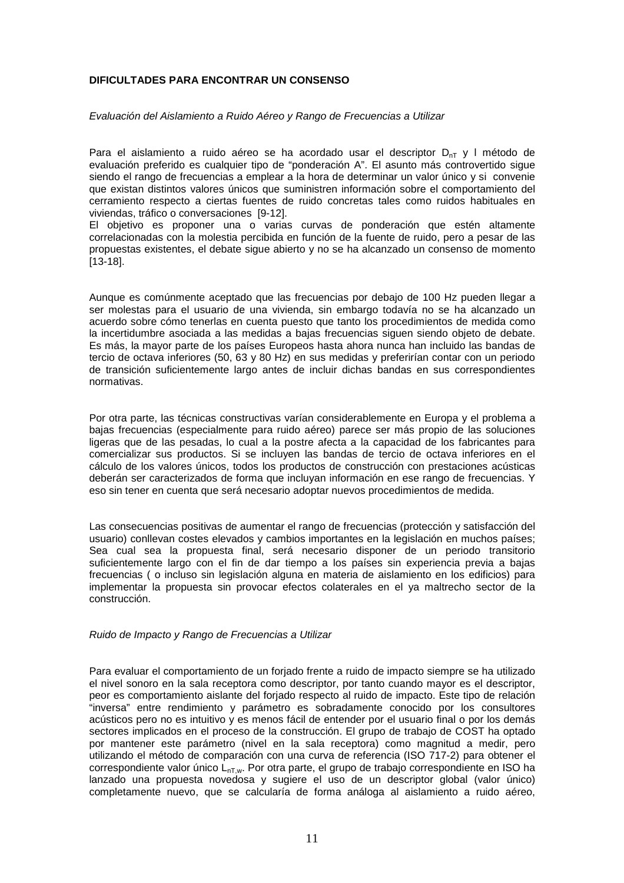# **DIFICULTADES PARA ENCONTRAR UN CONSENSO**

### Evaluación del Aislamiento a Ruido Aéreo y Rango de Frecuencias a Utilizar

Para el aislamiento a ruido aéreo se ha acordado usar el descriptor  $D_{nT}$  y l método de evaluación preferido es cualquier tipo de "ponderación A". El asunto más controvertido sigue siendo el rango de frecuencias a emplear a la hora de determinar un valor único y si convenie que existan distintos valores únicos que suministren información sobre el comportamiento del cerramiento respecto a ciertas fuentes de ruido concretas tales como ruidos habituales en viviendas, tráfico o conversaciones [9-12].

El objetivo es proponer una o varias curvas de ponderación que estén altamente correlacionadas con la molestia percibida en función de la fuente de ruido, pero a pesar de las propuestas existentes, el debate sigue abierto y no se ha alcanzado un consenso de momento [13-18].

Aunque es comúnmente aceptado que las frecuencias por debajo de 100 Hz pueden llegar a ser molestas para el usuario de una vivienda, sin embargo todavía no se ha alcanzado un acuerdo sobre cómo tenerlas en cuenta puesto que tanto los procedimientos de medida como la incertidumbre asociada a las medidas a bajas frecuencias siguen siendo objeto de debate. Es más, la mayor parte de los países Europeos hasta ahora nunca han incluido las bandas de tercio de octava inferiores (50, 63 y 80 Hz) en sus medidas y preferirían contar con un periodo de transición suficientemente largo antes de incluir dichas bandas en sus correspondientes normativas.

Por otra parte, las técnicas constructivas varían considerablemente en Europa y el problema a bajas frecuencias (especialmente para ruido aéreo) parece ser más propio de las soluciones ligeras que de las pesadas, lo cual a la postre afecta a la capacidad de los fabricantes para comercializar sus productos. Si se incluyen las bandas de tercio de octava inferiores en el cálculo de los valores únicos, todos los productos de construcción con prestaciones acústicas deberán ser caracterizados de forma que incluyan información en ese rango de frecuencias. Y eso sin tener en cuenta que será necesario adoptar nuevos procedimientos de medida.

Las consecuencias positivas de aumentar el rango de frecuencias (protección y satisfacción del usuario) conllevan costes elevados y cambios importantes en la legislación en muchos países; Sea cual sea la propuesta final, será necesario disponer de un periodo transitorio suficientemente largo con el fin de dar tiempo a los países sin experiencia previa a bajas frecuencias ( o incluso sin legislación alguna en materia de aislamiento en los edificios) para implementar la propuesta sin provocar efectos colaterales en el ya maltrecho sector de la construcción.

### Ruido de Impacto y Rango de Frecuencias a Utilizar

Para evaluar el comportamiento de un forjado frente a ruido de impacto siempre se ha utilizado el nivel sonoro en la sala receptora como descriptor, por tanto cuando mayor es el descriptor, peor es comportamiento aislante del forjado respecto al ruido de impacto. Este tipo de relación "inversa" entre rendimiento y parámetro es sobradamente conocido por los consultores acústicos pero no es intuitivo y es menos fácil de entender por el usuario final o por los demás sectores implicados en el proceso de la construcción. El grupo de trabajo de COST ha optado por mantener este parámetro (nivel en la sala receptora) como magnitud a medir, pero utilizando el método de comparación con una curva de referencia (ISO 717-2) para obtener el correspondiente valor único  $L_{nT,w}$ . Por otra parte, el grupo de trabajo correspondiente en ISO ha lanzado una propuesta novedosa y sugiere el uso de un descriptor global (valor único) completamente nuevo, que se calcularía de forma análoga al aislamiento a ruido aéreo,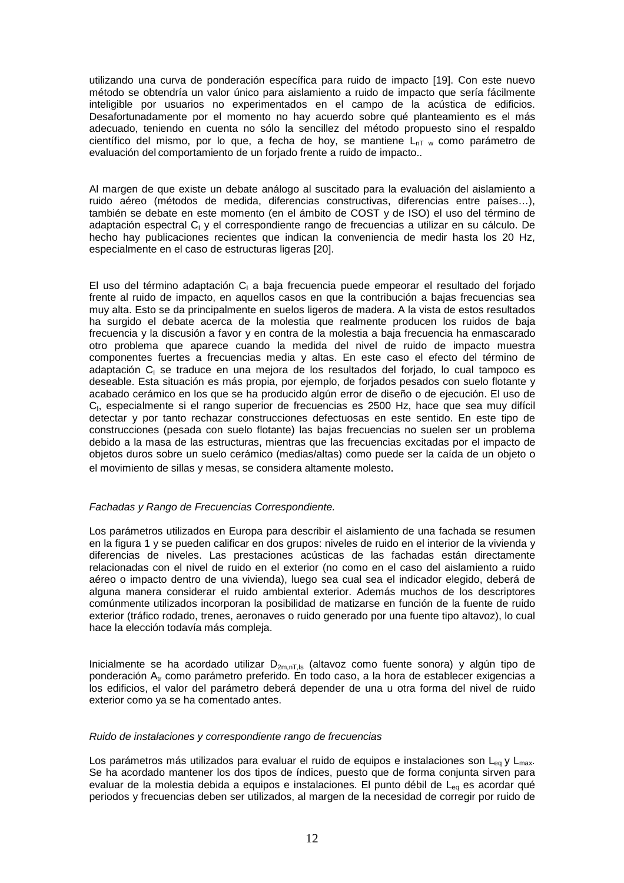utilizando una curva de ponderación específica para ruido de impacto [19]. Con este nuevo método se obtendría un valor único para aislamiento a ruido de impacto que sería fácilmente inteligible por usuarios no experimentados en el campo de la acústica de edificios. Desafortunadamente por el momento no hay acuerdo sobre qué planteamiento es el más adecuado, teniendo en cuenta no sólo la sencillez del método propuesto sino el respaldo científico del mismo, por lo que, a fecha de hoy, se mantiene  $L_{nT}$  w como parámetro de evaluación del comportamiento de un forjado frente a ruido de impacto..

Al margen de que existe un debate análogo al suscitado para la evaluación del aislamiento a ruido aéreo (métodos de medida, diferencias constructivas, diferencias entre países…), también se debate en este momento (en el ámbito de COST y de ISO) el uso del término de adaptación espectral C<sub>I</sub> y el correspondiente rango de frecuencias a utilizar en su cálculo. De hecho hay publicaciones recientes que indican la conveniencia de medir hasta los 20 Hz, especialmente en el caso de estructuras ligeras [20].

El uso del término adaptación  $C_1$  a baja frecuencia puede empeorar el resultado del forjado frente al ruido de impacto, en aquellos casos en que la contribución a bajas frecuencias sea muy alta. Esto se da principalmente en suelos ligeros de madera. A la vista de estos resultados ha surgido el debate acerca de la molestia que realmente producen los ruidos de baja frecuencia y la discusión a favor y en contra de la molestia a baja frecuencia ha enmascarado otro problema que aparece cuando la medida del nivel de ruido de impacto muestra componentes fuertes a frecuencias media y altas. En este caso el efecto del término de adaptación C<sub>I</sub> se traduce en una mejora de los resultados del forjado, lo cual tampoco es deseable. Esta situación es más propia, por ejemplo, de forjados pesados con suelo flotante y acabado cerámico en los que se ha producido algún error de diseño o de ejecución. El uso de C<sub>I</sub>, especialmente si el rango superior de frecuencias es 2500 Hz, hace que sea muy difícil detectar y por tanto rechazar construcciones defectuosas en este sentido. En este tipo de construcciones (pesada con suelo flotante) las bajas frecuencias no suelen ser un problema debido a la masa de las estructuras, mientras que las frecuencias excitadas por el impacto de objetos duros sobre un suelo cerámico (medias/altas) como puede ser la caída de un objeto o el movimiento de sillas y mesas, se considera altamente molesto.

# Fachadas y Rango de Frecuencias Correspondiente.

Los parámetros utilizados en Europa para describir el aislamiento de una fachada se resumen en la figura 1 y se pueden calificar en dos grupos: niveles de ruido en el interior de la vivienda y diferencias de niveles. Las prestaciones acústicas de las fachadas están directamente relacionadas con el nivel de ruido en el exterior (no como en el caso del aislamiento a ruido aéreo o impacto dentro de una vivienda), luego sea cual sea el indicador elegido, deberá de alguna manera considerar el ruido ambiental exterior. Además muchos de los descriptores comúnmente utilizados incorporan la posibilidad de matizarse en función de la fuente de ruido exterior (tráfico rodado, trenes, aeronaves o ruido generado por una fuente tipo altavoz), lo cual hace la elección todavía más compleja.

Inicialmente se ha acordado utilizar  $D_{2m,nT,ls}$  (altavoz como fuente sonora) y algún tipo de ponderación A<sub>tr</sub> como parámetro preferido. En todo caso, a la hora de establecer exigencias a los edificios, el valor del parámetro deberá depender de una u otra forma del nivel de ruido exterior como ya se ha comentado antes.

### Ruido de instalaciones y correspondiente rango de frecuencias

Los parámetros más utilizados para evaluar el ruido de equipos e instalaciones son L<sub>eg</sub> y L<sub>max</sub>. Se ha acordado mantener los dos tipos de índices, puesto que de forma conjunta sirven para evaluar de la molestia debida a equipos e instalaciones. El punto débil de L<sub>eq</sub> es acordar qué periodos y frecuencias deben ser utilizados, al margen de la necesidad de corregir por ruido de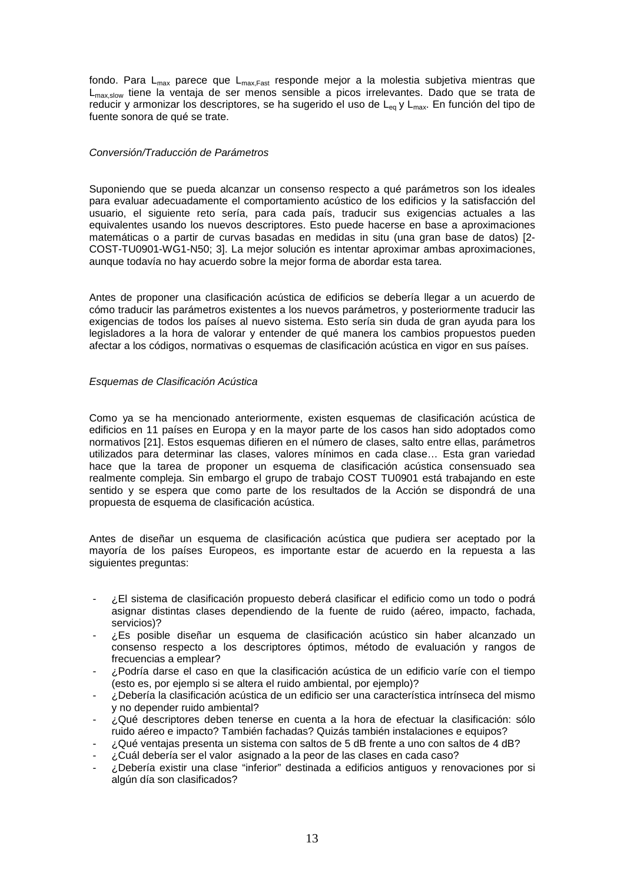fondo. Para  $L_{max}$  parece que  $L_{max,Fast}$  responde mejor a la molestia subjetiva mientras que L<sub>max slow</sub> tiene la ventaja de ser menos sensible a picos irrelevantes. Dado que se trata de reducir y armonizar los descriptores, se ha sugerido el uso de  $L_{eq}$  y  $L_{max}$ . En función del tipo de fuente sonora de qué se trate.

# Conversión/Traducción de Parámetros

Suponiendo que se pueda alcanzar un consenso respecto a qué parámetros son los ideales para evaluar adecuadamente el comportamiento acústico de los edificios y la satisfacción del usuario, el siguiente reto sería, para cada país, traducir sus exigencias actuales a las equivalentes usando los nuevos descriptores. Esto puede hacerse en base a aproximaciones matemáticas o a partir de curvas basadas en medidas in situ (una gran base de datos) [2- COST-TU0901-WG1-N50; 3]. La mejor solución es intentar aproximar ambas aproximaciones, aunque todavía no hay acuerdo sobre la mejor forma de abordar esta tarea.

Antes de proponer una clasificación acústica de edificios se debería llegar a un acuerdo de cómo traducir las parámetros existentes a los nuevos parámetros, y posteriormente traducir las exigencias de todos los países al nuevo sistema. Esto sería sin duda de gran ayuda para los legisladores a la hora de valorar y entender de qué manera los cambios propuestos pueden afectar a los códigos, normativas o esquemas de clasificación acústica en vigor en sus países.

### Esquemas de Clasificación Acústica

Como ya se ha mencionado anteriormente, existen esquemas de clasificación acústica de edificios en 11 países en Europa y en la mayor parte de los casos han sido adoptados como normativos [21]. Estos esquemas difieren en el número de clases, salto entre ellas, parámetros utilizados para determinar las clases, valores mínimos en cada clase… Esta gran variedad hace que la tarea de proponer un esquema de clasificación acústica consensuado sea realmente compleja. Sin embargo el grupo de trabajo COST TU0901 está trabajando en este sentido y se espera que como parte de los resultados de la Acción se dispondrá de una propuesta de esquema de clasificación acústica.

Antes de diseñar un esquema de clasificación acústica que pudiera ser aceptado por la mayoría de los países Europeos, es importante estar de acuerdo en la repuesta a las siguientes preguntas:

- ¿El sistema de clasificación propuesto deberá clasificar el edificio como un todo o podrá asignar distintas clases dependiendo de la fuente de ruido (aéreo, impacto, fachada, servicios)?
- ¿Es posible diseñar un esquema de clasificación acústico sin haber alcanzado un consenso respecto a los descriptores óptimos, método de evaluación y rangos de frecuencias a emplear?
- ¿Podría darse el caso en que la clasificación acústica de un edificio varíe con el tiempo (esto es, por ejemplo si se altera el ruido ambiental, por ejemplo)?
- ¿Debería la clasificación acústica de un edificio ser una característica intrínseca del mismo y no depender ruido ambiental?
- ¿Qué descriptores deben tenerse en cuenta a la hora de efectuar la clasificación: sólo ruido aéreo e impacto? También fachadas? Quizás también instalaciones e equipos?
- ¿Qué ventajas presenta un sistema con saltos de 5 dB frente a uno con saltos de 4 dB?
- ¿Cuál debería ser el valor asignado a la peor de las clases en cada caso?
- ¿Debería existir una clase "inferior" destinada a edificios antiguos y renovaciones por si algún día son clasificados?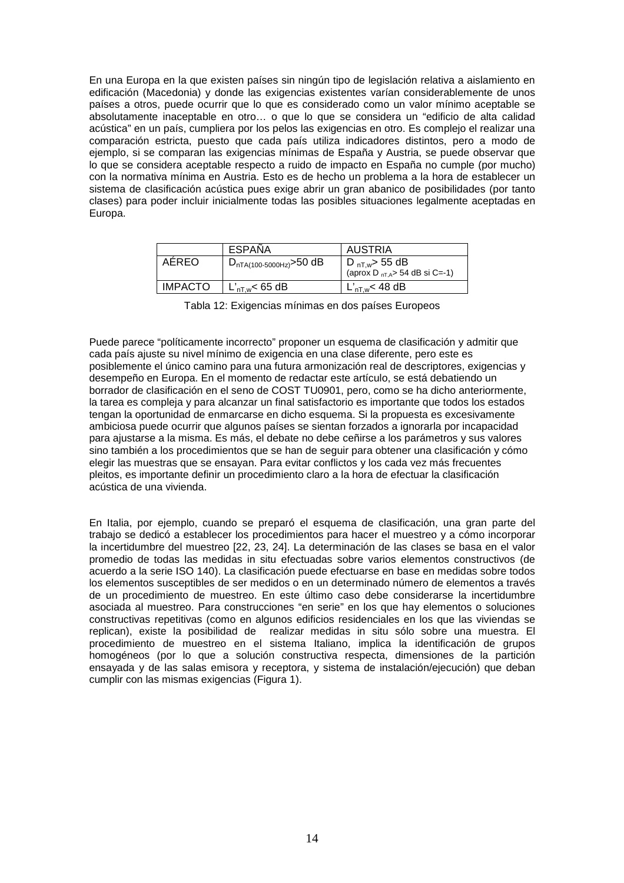En una Europa en la que existen países sin ningún tipo de legislación relativa a aislamiento en edificación (Macedonia) y donde las exigencias existentes varían considerablemente de unos países a otros, puede ocurrir que lo que es considerado como un valor mínimo aceptable se absolutamente inaceptable en otro… o que lo que se considera un "edificio de alta calidad acústica" en un país, cumpliera por los pelos las exigencias en otro. Es complejo el realizar una comparación estricta, puesto que cada país utiliza indicadores distintos, pero a modo de ejemplo, si se comparan las exigencias mínimas de España y Austria, se puede observar que lo que se considera aceptable respecto a ruido de impacto en España no cumple (por mucho) con la normativa mínima en Austria. Esto es de hecho un problema a la hora de establecer un sistema de clasificación acústica pues exige abrir un gran abanico de posibilidades (por tanto clases) para poder incluir inicialmente todas las posibles situaciones legalmente aceptadas en Europa.

|                | ESPAÑA                       | AUSTRIA                                                          |
|----------------|------------------------------|------------------------------------------------------------------|
| AEREO          | $D_{nTA(100-5000Hz)}$ >50 dB | D <sub>nT,w</sub> > 55 dB<br>(aprox D $_{nT,A}$ > 54 dB si C=-1) |
| <b>IMPACTO</b> | $L'_{\text{nT.w}}$ < 65 dB   | $L'_{\text{nT.w}}$ < 48 dB                                       |

Tabla 12: Exigencias mínimas en dos países Europeos

Puede parece "políticamente incorrecto" proponer un esquema de clasificación y admitir que cada país ajuste su nivel mínimo de exigencia en una clase diferente, pero este es posiblemente el único camino para una futura armonización real de descriptores, exigencias y desempeño en Europa. En el momento de redactar este artículo, se está debatiendo un borrador de clasificación en el seno de COST TU0901, pero, como se ha dicho anteriormente, la tarea es compleja y para alcanzar un final satisfactorio es importante que todos los estados tengan la oportunidad de enmarcarse en dicho esquema. Si la propuesta es excesivamente ambiciosa puede ocurrir que algunos países se sientan forzados a ignorarla por incapacidad para ajustarse a la misma. Es más, el debate no debe ceñirse a los parámetros y sus valores sino también a los procedimientos que se han de seguir para obtener una clasificación y cómo elegir las muestras que se ensayan. Para evitar conflictos y los cada vez más frecuentes pleitos, es importante definir un procedimiento claro a la hora de efectuar la clasificación acústica de una vivienda.

En Italia, por ejemplo, cuando se preparó el esquema de clasificación, una gran parte del trabajo se dedicó a establecer los procedimientos para hacer el muestreo y a cómo incorporar la incertidumbre del muestreo [22, 23, 24]. La determinación de las clases se basa en el valor promedio de todas las medidas in situ efectuadas sobre varios elementos constructivos (de acuerdo a la serie ISO 140). La clasificación puede efectuarse en base en medidas sobre todos los elementos susceptibles de ser medidos o en un determinado número de elementos a través de un procedimiento de muestreo. En este último caso debe considerarse la incertidumbre asociada al muestreo. Para construcciones "en serie" en los que hay elementos o soluciones constructivas repetitivas (como en algunos edificios residenciales en los que las viviendas se replican), existe la posibilidad de realizar medidas in situ sólo sobre una muestra. El procedimiento de muestreo en el sistema Italiano, implica la identificación de grupos homogéneos (por lo que a solución constructiva respecta, dimensiones de la partición ensayada y de las salas emisora y receptora, y sistema de instalación/ejecución) que deban cumplir con las mismas exigencias (Figura 1).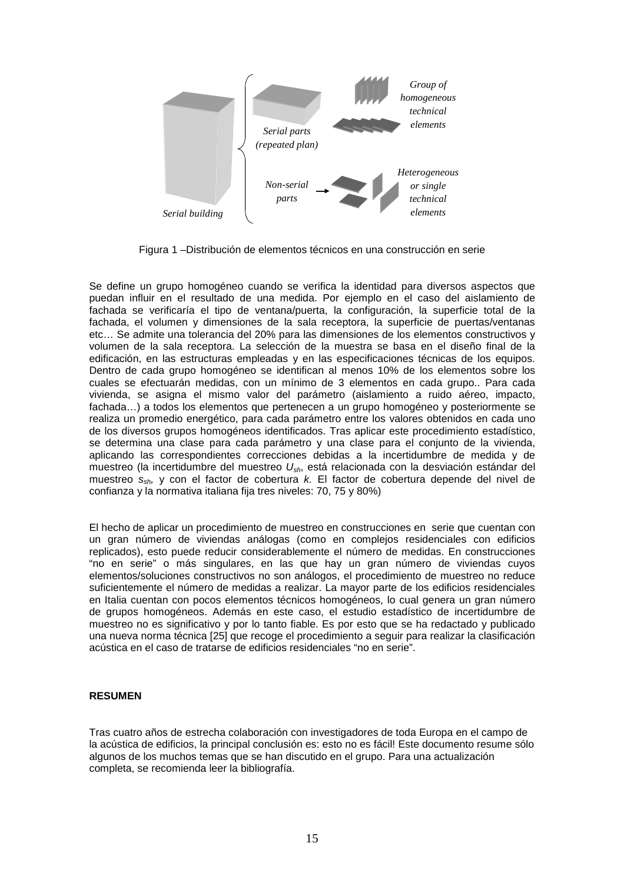

Figura 1 –Distribución de elementos técnicos en una construcción en serie

Se define un grupo homogéneo cuando se verifica la identidad para diversos aspectos que puedan influir en el resultado de una medida. Por ejemplo en el caso del aislamiento de fachada se verificaría el tipo de ventana/puerta, la configuración, la superficie total de la fachada, el volumen y dimensiones de la sala receptora, la superficie de puertas/ventanas etc… Se admite una tolerancia del 20% para las dimensiones de los elementos constructivos y volumen de la sala receptora. La selección de la muestra se basa en el diseño final de la edificación, en las estructuras empleadas y en las especificaciones técnicas de los equipos. Dentro de cada grupo homogéneo se identifican al menos 10% de los elementos sobre los cuales se efectuarán medidas, con un mínimo de 3 elementos en cada grupo.. Para cada vivienda, se asigna el mismo valor del parámetro (aislamiento a ruido aéreo, impacto, fachada…) a todos los elementos que pertenecen a un grupo homogéneo y posteriormente se realiza un promedio energético, para cada parámetro entre los valores obtenidos en cada uno de los diversos grupos homogéneos identificados. Tras aplicar este procedimiento estadístico, se determina una clase para cada parámetro y una clase para el conjunto de la vivienda, aplicando las correspondientes correcciones debidas a la incertidumbre de medida y de muestreo (la incertidumbre del muestreo  $U_{\rm sh}$ , está relacionada con la desviación estándar del muestreo ssh, y con el factor de cobertura k. El factor de cobertura depende del nivel de confianza y la normativa italiana fija tres niveles: 70, 75 y 80%)

El hecho de aplicar un procedimiento de muestreo en construcciones en serie que cuentan con un gran número de viviendas análogas (como en complejos residenciales con edificios replicados), esto puede reducir considerablemente el número de medidas. En construcciones "no en serie" o más singulares, en las que hay un gran número de viviendas cuyos elementos/soluciones constructivos no son análogos, el procedimiento de muestreo no reduce suficientemente el número de medidas a realizar. La mayor parte de los edificios residenciales en Italia cuentan con pocos elementos técnicos homogéneos, lo cual genera un gran número de grupos homogéneos. Además en este caso, el estudio estadístico de incertidumbre de muestreo no es significativo y por lo tanto fiable. Es por esto que se ha redactado y publicado una nueva norma técnica [25] que recoge el procedimiento a seguir para realizar la clasificación acústica en el caso de tratarse de edificios residenciales "no en serie".

# **RESUMEN**

Tras cuatro años de estrecha colaboración con investigadores de toda Europa en el campo de la acústica de edificios, la principal conclusión es: esto no es fácil! Este documento resume sólo algunos de los muchos temas que se han discutido en el grupo. Para una actualización completa, se recomienda leer la bibliografía.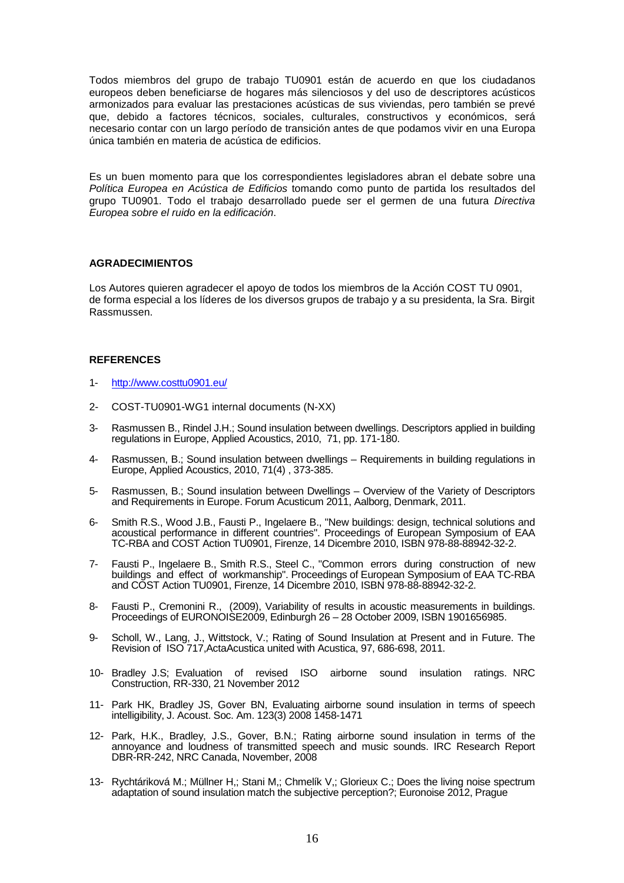Todos miembros del grupo de trabajo TU0901 están de acuerdo en que los ciudadanos europeos deben beneficiarse de hogares más silenciosos y del uso de descriptores acústicos armonizados para evaluar las prestaciones acústicas de sus viviendas, pero también se prevé que, debido a factores técnicos, sociales, culturales, constructivos y económicos, será necesario contar con un largo período de transición antes de que podamos vivir en una Europa única también en materia de acústica de edificios.

Es un buen momento para que los correspondientes legisladores abran el debate sobre una Política Europea en Acústica de Edificios tomando como punto de partida los resultados del grupo TU0901. Todo el trabajo desarrollado puede ser el germen de una futura Directiva Europea sobre el ruido en la edificación.

### **AGRADECIMIENTOS**

Los Autores quieren agradecer el apoyo de todos los miembros de la Acción COST TU 0901, de forma especial a los líderes de los diversos grupos de trabajo y a su presidenta, la Sra. Birgit Rassmussen.

### **REFERENCES**

- 1- http://www.costtu0901.eu/
- 2- COST-TU0901-WG1 internal documents (N-XX)
- 3- Rasmussen B., Rindel J.H.; Sound insulation between dwellings. Descriptors applied in building regulations in Europe, Applied Acoustics, 2010, 71, pp. 171-180.
- 4- Rasmussen, B.; Sound insulation between dwellings Requirements in building regulations in Europe, Applied Acoustics, 2010, 71(4) , 373-385.
- 5- Rasmussen, B.; Sound insulation between Dwellings Overview of the Variety of Descriptors and Requirements in Europe. Forum Acusticum 2011, Aalborg, Denmark, 2011.
- 6- Smith R.S., Wood J.B., Fausti P., Ingelaere B., "New buildings: design, technical solutions and acoustical performance in different countries". Proceedings of European Symposium of EAA TC-RBA and COST Action TU0901, Firenze, 14 Dicembre 2010, ISBN 978-88-88942-32-2.
- 7- Fausti P., Ingelaere B., Smith R.S., Steel C., "Common errors during construction of new buildings and effect of workmanship". Proceedings of European Symposium of EAA TC-RBA and COST Action TU0901, Firenze, 14 Dicembre 2010, ISBN 978-88-88942-32-2.
- 8- Fausti P., Cremonini R., (2009), Variability of results in acoustic measurements in buildings. Proceedings of EURONOISE2009, Edinburgh 26 – 28 October 2009, ISBN 1901656985.
- 9- Scholl, W., Lang, J., Wittstock, V.; Rating of Sound Insulation at Present and in Future. The Revision of ISO 717,ActaAcustica united with Acustica, 97, 686-698, 2011.
- 10- Bradley J.S; Evaluation of revised ISO airborne sound insulation ratings. NRC Construction, RR-330, 21 November 2012
- 11- Park HK, Bradley JS, Gover BN, Evaluating airborne sound insulation in terms of speech intelligibility, J. Acoust. Soc. Am. 123(3) 2008 1458-1471
- 12- Park, H.K., Bradley, J.S., Gover, B.N.; Rating airborne sound insulation in terms of the annoyance and loudness of transmitted speech and music sounds. IRC Research Report DBR-RR-242, NRC Canada, November, 2008
- 13- Rychtáriková M.; Müllner H,; Stani M,; Chmelík V,; Glorieux C.; Does the living noise spectrum adaptation of sound insulation match the subjective perception?; Euronoise 2012, Prague